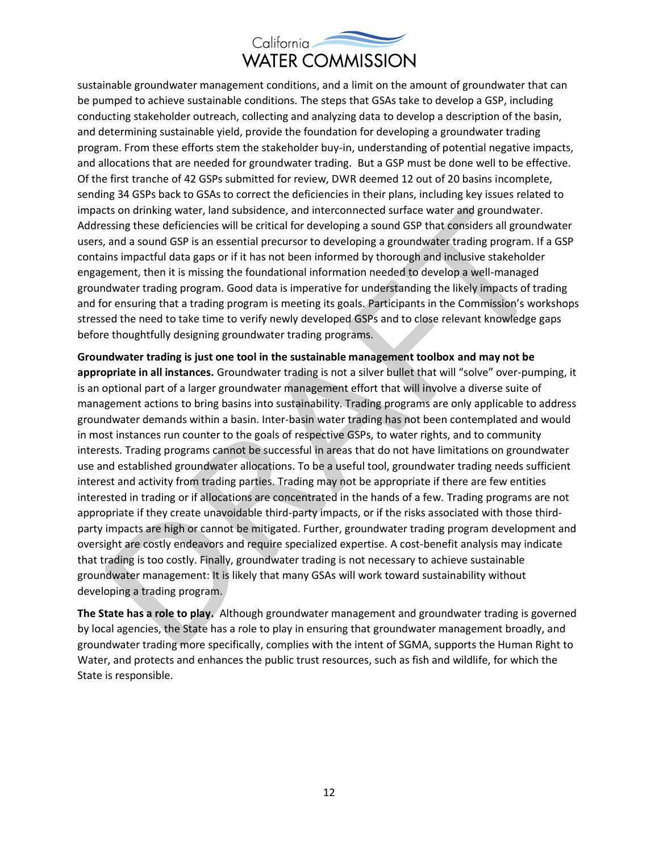

sustainable groundwater management conditions, and a limit on the amount of groundwater that can be pumped to achieve sustainable conditions. The steps that GSAs take to develop a GSP, including conducting stakeholder outreach, collecting and analyzing data to develop a description of the basin, and determining sustainable yield, provide the foundation for developing a groundwater trading program. From these efforts stem the stakeholder buy-in, understanding of potential negative impacts, and allocations that are needed for groundwater trading. But a GSP must be done well to be effective. Of the first tranche of 42 GSPs submitted for review, DWR deemed 12 out of 20 basins incomplete, sending 34 GSPs back to GSAs to correct the deficiencies in their plans, including key issues related to impacts on drinking water, land subsidence, and interconnected surface water and groundwater. Addressing these deficiencies will be critical for developing a sound GSP that considers all groundwater users, and a sound GSP is an essential precursor to developing a groundwater trading program. If a GSP contains impactful data gaps or if it has not been informed by thorough and inclusive stakeholder engagement, then it is missing the foundational information needed to develop a well-managed groundwater trading program. Good data is imperative for understanding the likely impacts of trading and for ensuring that a trading program is meeting its goals. Participants in the Commission's workshops stressed the need to take time to verify newly developed GSPs and to close relevant knowledge gaps before thoughtfully designing groundwater trading programs.

**Groundwater trading is just one tool in the sustainable management toolbox and may not be appropriate in all instances.** Groundwater trading is not a silver bullet that will "solve" over-pumping, it is an optional part of a larger groundwater management effort that will involve a diverse suite of management actions to bring basins into sustainability. Trading programs are only applicable to address groundwater demands within a basin. Inter-basin water trading has not been contemplated and would in most instances run counter to the goals of respective GSPs, to water rights, and to community interests. Trading programs cannot be successful in areas that do not have limitations on groundwater use and established groundwater allocations. To be a useful tool, groundwater trading needs sufficient interest and activity from trading parties. Trading may not be appropriate if there are few entities interested in trading or if allocations are concentrated in the hands of a few. Trading programs are not appropriate if they create unavoidable third-party impacts, or if the risks associated with those thirdparty impacts are high or cannot be mitigated. Further, groundwater trading program development and oversight are costly endeavors and require specialized expertise. A cost-benefit analysis may indicate that trading is too costly. Finally, groundwater trading is not necessary to achieve sustainable groundwater management: It is likely that many GSAs will work toward sustainability without developing a trading program.

**The State has a role to play.** Although groundwater management and groundwater trading is governed by local agencies, the State has a role to play in ensuring that groundwater management broadly, and groundwater trading more specifically, complies with the intent of SGMA, supports the Human Right to Water, and protects and enhances the public trust resources, such as fish and wildlife, for which the State is responsible.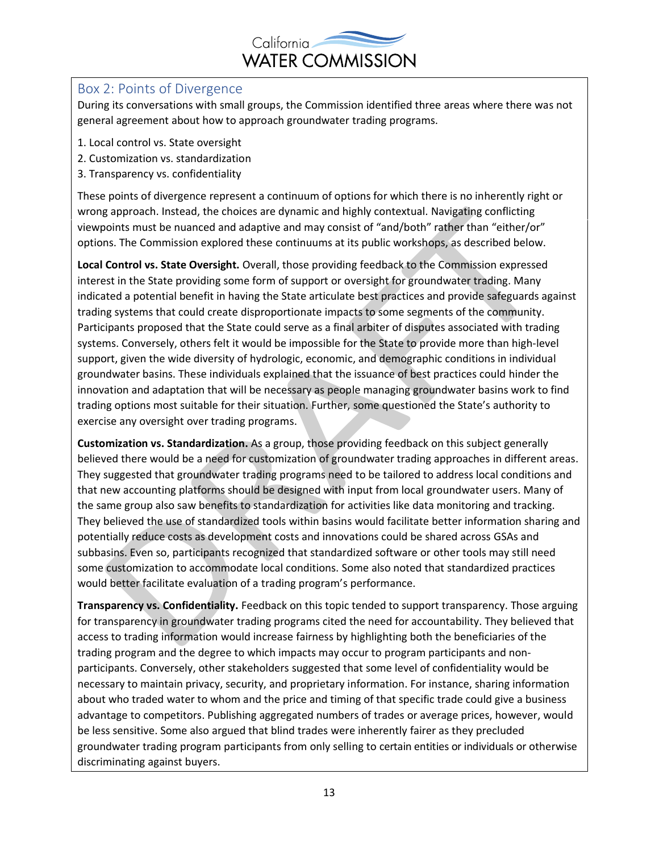

#### Box 2: Points of Divergence

During its conversations with small groups, the Commission identified three areas where there was not general agreement about how to approach groundwater trading programs.

- 1. Local control vs. State oversight
- 2. Customization vs. standardization
- 3. Transparency vs. confidentiality

These points of divergence represent a continuum of options for which there is no inherently right or wrong approach. Instead, the choices are dynamic and highly contextual. Navigating conflicting viewpoints must be nuanced and adaptive and may consist of "and/both" rather than "either/or" options. The Commission explored these continuums at its public workshops, as described below.

**Local Control vs. State Oversight.** Overall, those providing feedback to the Commission expressed interest in the State providing some form of support or oversight for groundwater trading. Many indicated a potential benefit in having the State articulate best practices and provide safeguards against trading systems that could create disproportionate impacts to some segments of the community. Participants proposed that the State could serve as a final arbiter of disputes associated with trading systems. Conversely, others felt it would be impossible for the State to provide more than high-level support, given the wide diversity of hydrologic, economic, and demographic conditions in individual groundwater basins. These individuals explained that the issuance of best practices could hinder the innovation and adaptation that will be necessary as people managing groundwater basins work to find trading options most suitable for their situation. Further, some questioned the State's authority to exercise any oversight over trading programs.

**Customization vs. Standardization.** As a group, those providing feedback on this subject generally believed there would be a need for customization of groundwater trading approaches in different areas. They suggested that groundwater trading programs need to be tailored to address local conditions and that new accounting platforms should be designed with input from local groundwater users. Many of the same group also saw benefits to standardization for activities like data monitoring and tracking. They believed the use of standardized tools within basins would facilitate better information sharing and potentially reduce costs as development costs and innovations could be shared across GSAs and subbasins. Even so, participants recognized that standardized software or other tools may still need some customization to accommodate local conditions. Some also noted that standardized practices would better facilitate evaluation of a trading program's performance.

**Transparency vs. Confidentiality.** Feedback on this topic tended to support transparency. Those arguing for transparency in groundwater trading programs cited the need for accountability. They believed that access to trading information would increase fairness by highlighting both the beneficiaries of the trading program and the degree to which impacts may occur to program participants and nonparticipants. Conversely, other stakeholders suggested that some level of confidentiality would be necessary to maintain privacy, security, and proprietary information. For instance, sharing information about who traded water to whom and the price and timing of that specific trade could give a business advantage to competitors. Publishing aggregated numbers of trades or average prices, however, would be less sensitive. Some also argued that blind trades were inherently fairer as they precluded groundwater trading program participants from only selling to certain entities or individuals or otherwise discriminating against buyers.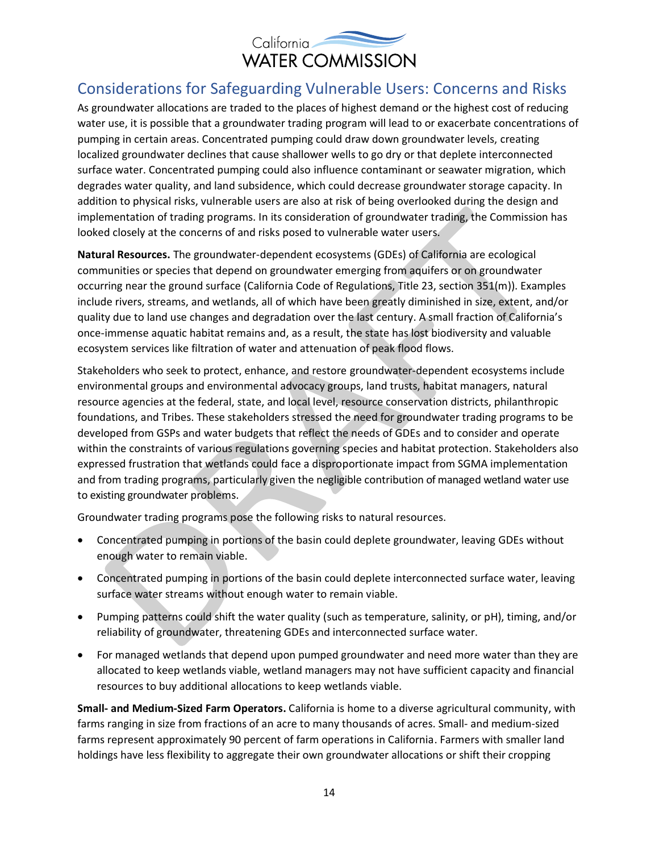

### Considerations for Safeguarding Vulnerable Users: Concerns and Risks

As groundwater allocations are traded to the places of highest demand or the highest cost of reducing water use, it is possible that a groundwater trading program will lead to or exacerbate concentrations of pumping in certain areas. Concentrated pumping could draw down groundwater levels, creating localized groundwater declines that cause shallower wells to go dry or that deplete interconnected surface water. Concentrated pumping could also influence contaminant or seawater migration, which degrades water quality, and land subsidence, which could decrease groundwater storage capacity. In addition to physical risks, vulnerable users are also at risk of being overlooked during the design and implementation of trading programs. In its consideration of groundwater trading, the Commission has looked closely at the concerns of and risks posed to vulnerable water users.

**Natural Resources.** The groundwater-dependent ecosystems (GDEs) of California are ecological communities or species that depend on groundwater emerging from aquifers or on groundwater occurring near the ground surface (California Code of Regulations, Title 23, section 351(m)). Examples include rivers, streams, and wetlands, all of which have been greatly diminished in size, extent, and/or quality due to land use changes and degradation over the last century. A small fraction of California's once-immense aquatic habitat remains and, as a result, the state has lost biodiversity and valuable ecosystem services like filtration of water and attenuation of peak flood flows.

Stakeholders who seek to protect, enhance, and restore groundwater-dependent ecosystems include environmental groups and environmental advocacy groups, land trusts, habitat managers, natural resource agencies at the federal, state, and local level, resource conservation districts, philanthropic foundations, and Tribes. These stakeholders stressed the need for groundwater trading programs to be developed from GSPs and water budgets that reflect the needs of GDEs and to consider and operate within the constraints of various regulations governing species and habitat protection. Stakeholders also expressed frustration that wetlands could face a disproportionate impact from SGMA implementation and from trading programs, particularly given the negligible contribution of managed wetland water use to existing groundwater problems.

Groundwater trading programs pose the following risks to natural resources.

- Concentrated pumping in portions of the basin could deplete groundwater, leaving GDEs without enough water to remain viable.
- Concentrated pumping in portions of the basin could deplete interconnected surface water, leaving surface water streams without enough water to remain viable.
- Pumping patterns could shift the water quality (such as temperature, salinity, or pH), timing, and/or reliability of groundwater, threatening GDEs and interconnected surface water.
- For managed wetlands that depend upon pumped groundwater and need more water than they are allocated to keep wetlands viable, wetland managers may not have sufficient capacity and financial resources to buy additional allocations to keep wetlands viable.

**Small- and Medium-Sized Farm Operators.** California is home to a diverse agricultural community, with farms ranging in size from fractions of an acre to many thousands of acres. Small- and medium-sized farms represent approximately 90 percent of farm operations in California. Farmers with smaller land holdings have less flexibility to aggregate their own groundwater allocations or shift their cropping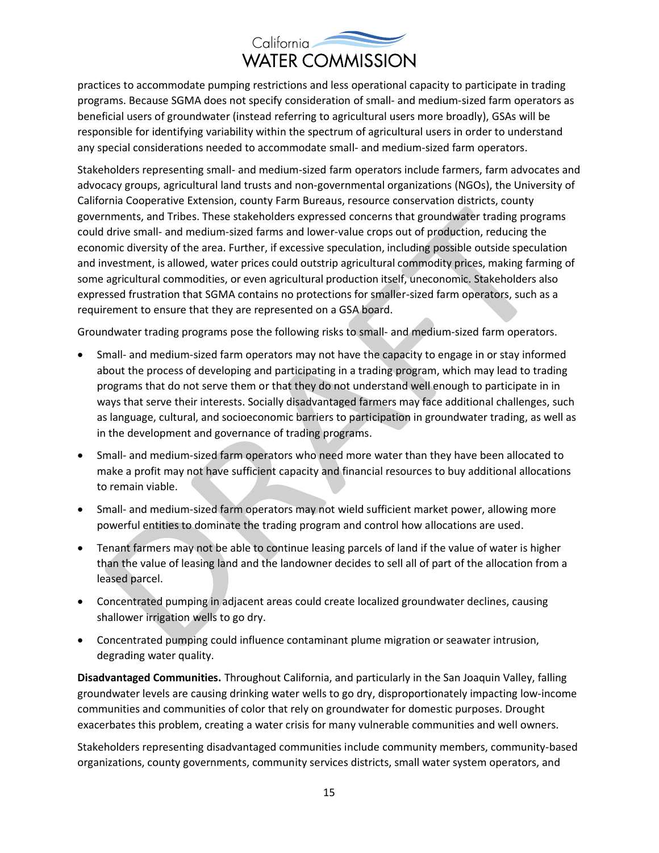practices to accommodate pumping restrictions and less operational capacity to participate in trading programs. Because SGMA does not specify consideration of small- and medium-sized farm operators as beneficial users of groundwater (instead referring to agricultural users more broadly), GSAs will be responsible for identifying variability within the spectrum of agricultural users in order to understand any special considerations needed to accommodate small- and medium-sized farm operators.

Stakeholders representing small- and medium-sized farm operators include farmers, farm advocates and advocacy groups, agricultural land trusts and non-governmental organizations (NGOs), the University of California Cooperative Extension, county Farm Bureaus, resource conservation districts, county governments, and Tribes. These stakeholders expressed concerns that groundwater trading programs could drive small- and medium-sized farms and lower-value crops out of production, reducing the economic diversity of the area. Further, if excessive speculation, including possible outside speculation and investment, is allowed, water prices could outstrip agricultural commodity prices, making farming of some agricultural commodities, or even agricultural production itself, uneconomic. Stakeholders also expressed frustration that SGMA contains no protections for smaller-sized farm operators, such as a requirement to ensure that they are represented on a GSA board.

Groundwater trading programs pose the following risks to small- and medium-sized farm operators.

- Small- and medium-sized farm operators may not have the capacity to engage in or stay informed about the process of developing and participating in a trading program, which may lead to trading programs that do not serve them or that they do not understand well enough to participate in in ways that serve their interests. Socially disadvantaged farmers may face additional challenges, such as language, cultural, and socioeconomic barriers to participation in groundwater trading, as well as in the development and governance of trading programs.
- Small- and medium-sized farm operators who need more water than they have been allocated to make a profit may not have sufficient capacity and financial resources to buy additional allocations to remain viable.
- Small- and medium-sized farm operators may not wield sufficient market power, allowing more powerful entities to dominate the trading program and control how allocations are used.
- Tenant farmers may not be able to continue leasing parcels of land if the value of water is higher than the value of leasing land and the landowner decides to sell all of part of the allocation from a leased parcel.
- Concentrated pumping in adjacent areas could create localized groundwater declines, causing shallower irrigation wells to go dry.
- Concentrated pumping could influence contaminant plume migration or seawater intrusion, degrading water quality.

**Disadvantaged Communities.** Throughout California, and particularly in the San Joaquin Valley, falling groundwater levels are causing drinking water wells to go dry, disproportionately impacting low-income communities and communities of color that rely on groundwater for domestic purposes. Drought exacerbates this problem, creating a water crisis for many vulnerable communities and well owners.

Stakeholders representing disadvantaged communities include community members, community-based organizations, county governments, community services districts, small water system operators, and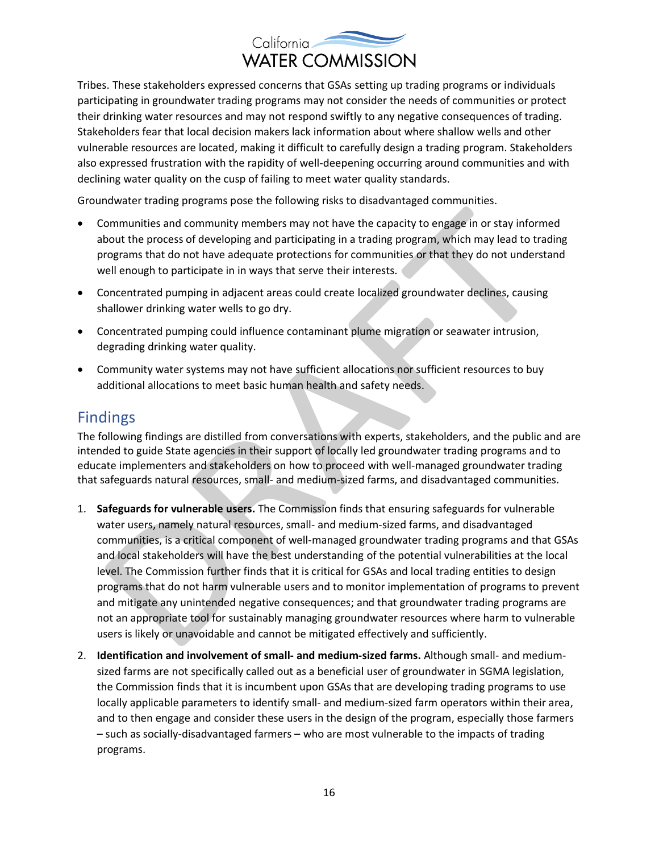Tribes. These stakeholders expressed concerns that GSAs setting up trading programs or individuals participating in groundwater trading programs may not consider the needs of communities or protect their drinking water resources and may not respond swiftly to any negative consequences of trading. Stakeholders fear that local decision makers lack information about where shallow wells and other vulnerable resources are located, making it difficult to carefully design a trading program. Stakeholders also expressed frustration with the rapidity of well-deepening occurring around communities and with declining water quality on the cusp of failing to meet water quality standards.

Groundwater trading programs pose the following risks to disadvantaged communities.

- Communities and community members may not have the capacity to engage in or stay informed about the process of developing and participating in a trading program, which may lead to trading programs that do not have adequate protections for communities or that they do not understand well enough to participate in in ways that serve their interests.
- Concentrated pumping in adjacent areas could create localized groundwater declines, causing shallower drinking water wells to go dry.
- Concentrated pumping could influence contaminant plume migration or seawater intrusion, degrading drinking water quality.
- Community water systems may not have sufficient allocations nor sufficient resources to buy additional allocations to meet basic human health and safety needs.

### Findings

The following findings are distilled from conversations with experts, stakeholders, and the public and are intended to guide State agencies in their support of locally led groundwater trading programs and to educate implementers and stakeholders on how to proceed with well-managed groundwater trading that safeguards natural resources, small- and medium-sized farms, and disadvantaged communities.

- 1. **Safeguards for vulnerable users.** The Commission finds that ensuring safeguards for vulnerable water users, namely natural resources, small- and medium-sized farms, and disadvantaged communities, is a critical component of well-managed groundwater trading programs and that GSAs and local stakeholders will have the best understanding of the potential vulnerabilities at the local level. The Commission further finds that it is critical for GSAs and local trading entities to design programs that do not harm vulnerable users and to monitor implementation of programs to prevent and mitigate any unintended negative consequences; and that groundwater trading programs are not an appropriate tool for sustainably managing groundwater resources where harm to vulnerable users is likely or unavoidable and cannot be mitigated effectively and sufficiently.
- 2. **Identification and involvement of small- and medium-sized farms.** Although small- and mediumsized farms are not specifically called out as a beneficial user of groundwater in SGMA legislation, the Commission finds that it is incumbent upon GSAs that are developing trading programs to use locally applicable parameters to identify small- and medium-sized farm operators within their area, and to then engage and consider these users in the design of the program, especially those farmers – such as socially-disadvantaged farmers – who are most vulnerable to the impacts of trading programs.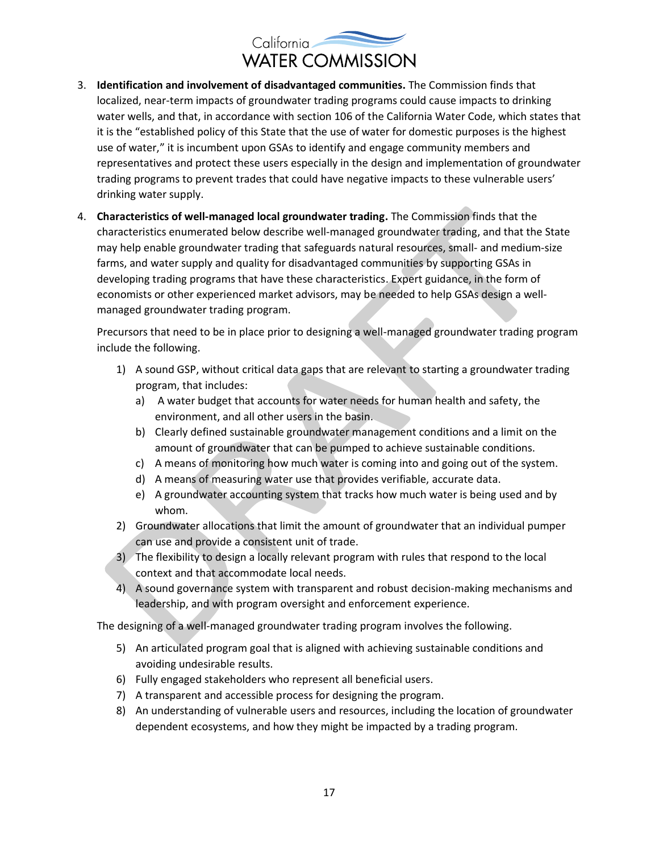- 3. **Identification and involvement of disadvantaged communities.** The Commission finds that localized, near-term impacts of groundwater trading programs could cause impacts to drinking water wells, and that, in accordance with section 106 of the California Water Code, which states that it is the "established policy of this State that the use of water for domestic purposes is the highest use of water," it is incumbent upon GSAs to identify and engage community members and representatives and protect these users especially in the design and implementation of groundwater trading programs to prevent trades that could have negative impacts to these vulnerable users' drinking water supply.
- 4. **Characteristics of well-managed local groundwater trading.** The Commission finds that the characteristics enumerated below describe well-managed groundwater trading, and that the State may help enable groundwater trading that safeguards natural resources, small- and medium-size farms, and water supply and quality for disadvantaged communities by supporting GSAs in developing trading programs that have these characteristics. Expert guidance, in the form of economists or other experienced market advisors, may be needed to help GSAs design a wellmanaged groundwater trading program.

Precursors that need to be in place prior to designing a well-managed groundwater trading program include the following.

- 1) A sound GSP, without critical data gaps that are relevant to starting a groundwater trading program, that includes:
	- a) A water budget that accounts for water needs for human health and safety, the environment, and all other users in the basin.
	- b) Clearly defined sustainable groundwater management conditions and a limit on the amount of groundwater that can be pumped to achieve sustainable conditions.
	- c) A means of monitoring how much water is coming into and going out of the system.
	- d) A means of measuring water use that provides verifiable, accurate data.
	- e) A groundwater accounting system that tracks how much water is being used and by whom.
- 2) Groundwater allocations that limit the amount of groundwater that an individual pumper can use and provide a consistent unit of trade.
- 3) The flexibility to design a locally relevant program with rules that respond to the local context and that accommodate local needs.
- 4) A sound governance system with transparent and robust decision-making mechanisms and leadership, and with program oversight and enforcement experience.

The designing of a well-managed groundwater trading program involves the following.

- 5) An articulated program goal that is aligned with achieving sustainable conditions and avoiding undesirable results.
- 6) Fully engaged stakeholders who represent all beneficial users.
- 7) A transparent and accessible process for designing the program.
- 8) An understanding of vulnerable users and resources, including the location of groundwater dependent ecosystems, and how they might be impacted by a trading program.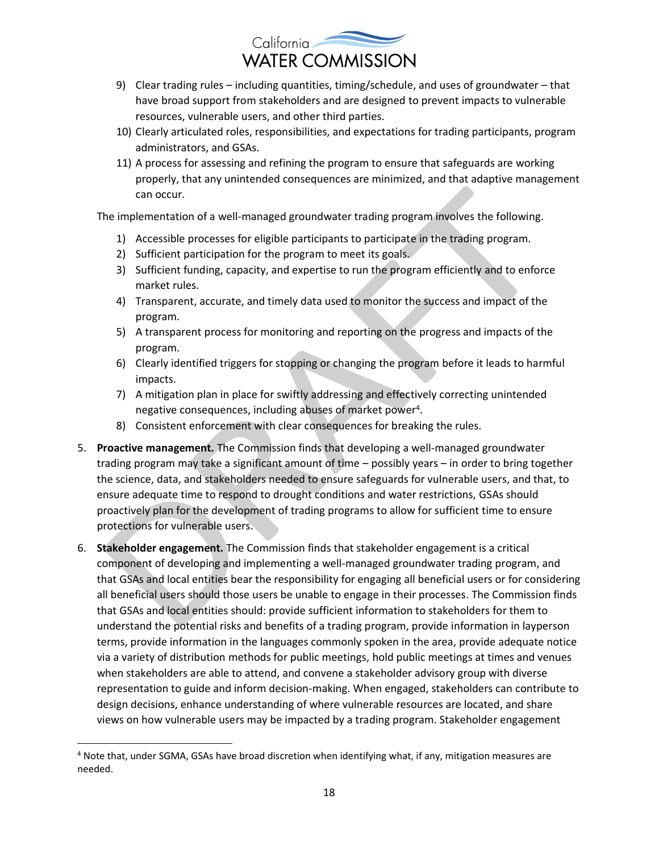

- 9) Clear trading rules including quantities, timing/schedule, and uses of groundwater that have broad support from stakeholders and are designed to prevent impacts to vulnerable resources, vulnerable users, and other third parties.
- 10) Clearly articulated roles, responsibilities, and expectations for trading participants, program administrators, and GSAs.
- 11) A process for assessing and refining the program to ensure that safeguards are working properly, that any unintended consequences are minimized, and that adaptive management can occur.

The implementation of a well-managed groundwater trading program involves the following.

- 1) Accessible processes for eligible participants to participate in the trading program.
- 2) Sufficient participation for the program to meet its goals.
- 3) Sufficient funding, capacity, and expertise to run the program efficiently and to enforce market rules.
- 4) Transparent, accurate, and timely data used to monitor the success and impact of the program.
- 5) A transparent process for monitoring and reporting on the progress and impacts of the program.
- 6) Clearly identified triggers for stopping or changing the program before it leads to harmful impacts.
- 7) A mitigation plan in place for swiftly addressing and effectively correcting unintended negative consequences, including abuses of market power<sup>4</sup>.
- 8) Consistent enforcement with clear consequences for breaking the rules.
- 5. **Proactive management.** The Commission finds that developing a well-managed groundwater trading program may take a significant amount of time – possibly years – in order to bring together the science, data, and stakeholders needed to ensure safeguards for vulnerable users, and that, to ensure adequate time to respond to drought conditions and water restrictions, GSAs should proactively plan for the development of trading programs to allow for sufficient time to ensure protections for vulnerable users.
- 6. **Stakeholder engagement.** The Commission finds that stakeholder engagement is a critical component of developing and implementing a well-managed groundwater trading program, and that GSAs and local entities bear the responsibility for engaging all beneficial users or for considering all beneficial users should those users be unable to engage in their processes. The Commission finds that GSAs and local entities should: provide sufficient information to stakeholders for them to understand the potential risks and benefits of a trading program, provide information in layperson terms, provide information in the languages commonly spoken in the area, provide adequate notice via a variety of distribution methods for public meetings, hold public meetings at times and venues when stakeholders are able to attend, and convene a stakeholder advisory group with diverse representation to guide and inform decision-making. When engaged, stakeholders can contribute to design decisions, enhance understanding of where vulnerable resources are located, and share views on how vulnerable users may be impacted by a trading program. Stakeholder engagement

<sup>4</sup> Note that, under SGMA, GSAs have broad discretion when identifying what, if any, mitigation measures are needed.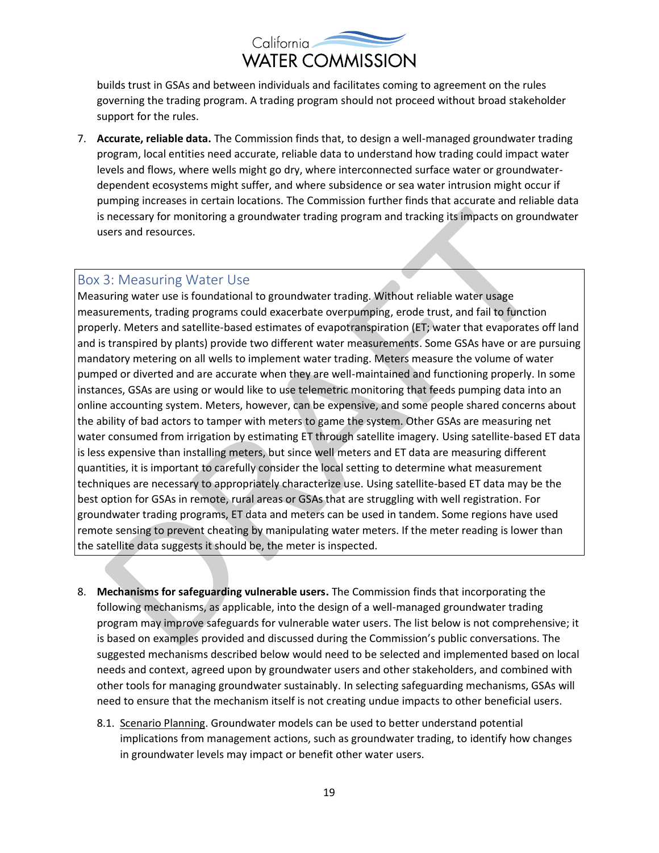builds trust in GSAs and between individuals and facilitates coming to agreement on the rules governing the trading program. A trading program should not proceed without broad stakeholder support for the rules.

7. **Accurate, reliable data.** The Commission finds that, to design a well-managed groundwater trading program, local entities need accurate, reliable data to understand how trading could impact water levels and flows, where wells might go dry, where interconnected surface water or groundwaterdependent ecosystems might suffer, and where subsidence or sea water intrusion might occur if pumping increases in certain locations. The Commission further finds that accurate and reliable data is necessary for monitoring a groundwater trading program and tracking its impacts on groundwater users and resources.

#### Box 3: Measuring Water Use

Measuring water use is foundational to groundwater trading. Without reliable water usage measurements, trading programs could exacerbate overpumping, erode trust, and fail to function properly. Meters and satellite-based estimates of evapotranspiration (ET; water that evaporates off land and is transpired by plants) provide two different water measurements. Some GSAs have or are pursuing mandatory metering on all wells to implement water trading. Meters measure the volume of water pumped or diverted and are accurate when they are well-maintained and functioning properly. In some instances, GSAs are using or would like to use telemetric monitoring that feeds pumping data into an online accounting system. Meters, however, can be expensive, and some people shared concerns about the ability of bad actors to tamper with meters to game the system. Other GSAs are measuring net water consumed from irrigation by estimating ET through satellite imagery. Using satellite-based ET data is less expensive than installing meters, but since well meters and ET data are measuring different quantities, it is important to carefully consider the local setting to determine what measurement techniques are necessary to appropriately characterize use. Using satellite-based ET data may be the best option for GSAs in remote, rural areas or GSAs that are struggling with well registration. For groundwater trading programs, ET data and meters can be used in tandem. Some regions have used remote sensing to prevent cheating by manipulating water meters. If the meter reading is lower than the satellite data suggests it should be, the meter is inspected.

- 8. **Mechanisms for safeguarding vulnerable users.** The Commission finds that incorporating the following mechanisms, as applicable, into the design of a well-managed groundwater trading program may improve safeguards for vulnerable water users. The list below is not comprehensive; it is based on examples provided and discussed during the Commission's public conversations. The suggested mechanisms described below would need to be selected and implemented based on local needs and context, agreed upon by groundwater users and other stakeholders, and combined with other tools for managing groundwater sustainably. In selecting safeguarding mechanisms, GSAs will need to ensure that the mechanism itself is not creating undue impacts to other beneficial users.
	- 8.1. Scenario Planning. Groundwater models can be used to better understand potential implications from management actions, such as groundwater trading, to identify how changes in groundwater levels may impact or benefit other water users.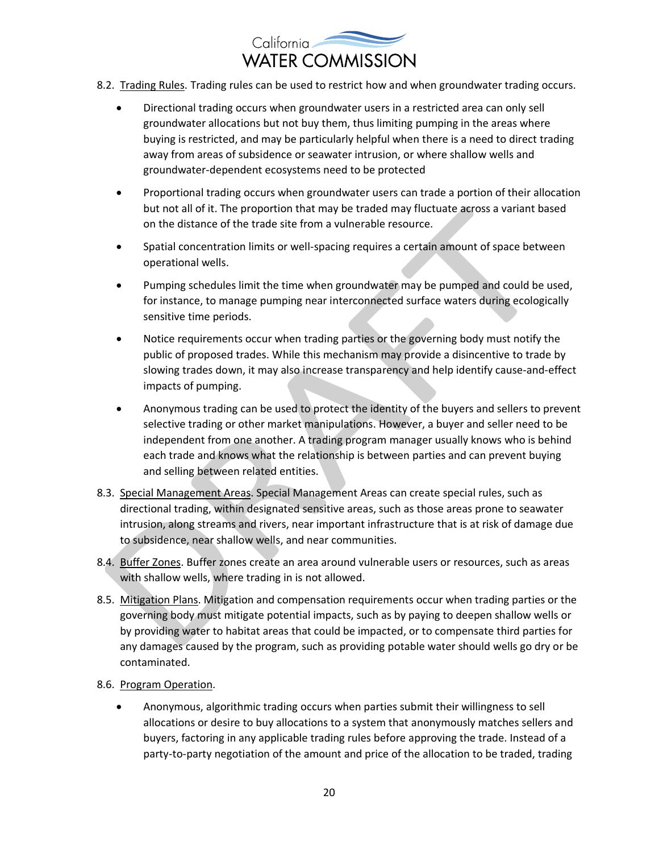

- 8.2. Trading Rules. Trading rules can be used to restrict how and when groundwater trading occurs.
	- Directional trading occurs when groundwater users in a restricted area can only sell groundwater allocations but not buy them, thus limiting pumping in the areas where buying is restricted, and may be particularly helpful when there is a need to direct trading away from areas of subsidence or seawater intrusion, or where shallow wells and groundwater-dependent ecosystems need to be protected
	- Proportional trading occurs when groundwater users can trade a portion of their allocation but not all of it. The proportion that may be traded may fluctuate across a variant based on the distance of the trade site from a vulnerable resource.
	- Spatial concentration limits or well-spacing requires a certain amount of space between operational wells.
	- Pumping schedules limit the time when groundwater may be pumped and could be used, for instance, to manage pumping near interconnected surface waters during ecologically sensitive time periods.
	- Notice requirements occur when trading parties or the governing body must notify the public of proposed trades. While this mechanism may provide a disincentive to trade by slowing trades down, it may also increase transparency and help identify cause-and-effect impacts of pumping.
	- Anonymous trading can be used to protect the identity of the buyers and sellers to prevent selective trading or other market manipulations. However, a buyer and seller need to be independent from one another. A trading program manager usually knows who is behind each trade and knows what the relationship is between parties and can prevent buying and selling between related entities.
- 8.3. Special Management Areas. Special Management Areas can create special rules, such as directional trading, within designated sensitive areas, such as those areas prone to seawater intrusion, along streams and rivers, near important infrastructure that is at risk of damage due to subsidence, near shallow wells, and near communities.
- 8.4. Buffer Zones. Buffer zones create an area around vulnerable users or resources, such as areas with shallow wells, where trading in is not allowed.
- 8.5. Mitigation Plans. Mitigation and compensation requirements occur when trading parties or the governing body must mitigate potential impacts, such as by paying to deepen shallow wells or by providing water to habitat areas that could be impacted, or to compensate third parties for any damages caused by the program, such as providing potable water should wells go dry or be contaminated.
- 8.6. Program Operation.
	- Anonymous, algorithmic trading occurs when parties submit their willingness to sell allocations or desire to buy allocations to a system that anonymously matches sellers and buyers, factoring in any applicable trading rules before approving the trade. Instead of a party-to-party negotiation of the amount and price of the allocation to be traded, trading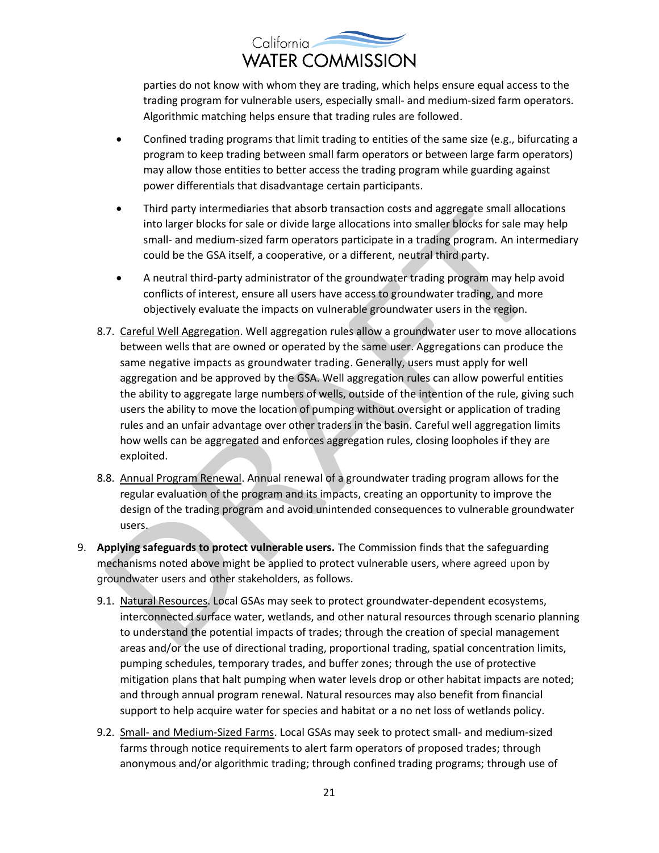

parties do not know with whom they are trading, which helps ensure equal access to the trading program for vulnerable users, especially small- and medium-sized farm operators. Algorithmic matching helps ensure that trading rules are followed.

- Confined trading programs that limit trading to entities of the same size (e.g., bifurcating a program to keep trading between small farm operators or between large farm operators) may allow those entities to better access the trading program while guarding against power differentials that disadvantage certain participants.
- Third party intermediaries that absorb transaction costs and aggregate small allocations into larger blocks for sale or divide large allocations into smaller blocks for sale may help small- and medium-sized farm operators participate in a trading program. An intermediary could be the GSA itself, a cooperative, or a different, neutral third party.
- A neutral third-party administrator of the groundwater trading program may help avoid conflicts of interest, ensure all users have access to groundwater trading, and more objectively evaluate the impacts on vulnerable groundwater users in the region.
- 8.7. Careful Well Aggregation. Well aggregation rules allow a groundwater user to move allocations between wells that are owned or operated by the same user. Aggregations can produce the same negative impacts as groundwater trading. Generally, users must apply for well aggregation and be approved by the GSA. Well aggregation rules can allow powerful entities the ability to aggregate large numbers of wells, outside of the intention of the rule, giving such users the ability to move the location of pumping without oversight or application of trading rules and an unfair advantage over other traders in the basin. Careful well aggregation limits how wells can be aggregated and enforces aggregation rules, closing loopholes if they are exploited.
- 8.8. Annual Program Renewal. Annual renewal of a groundwater trading program allows for the regular evaluation of the program and its impacts, creating an opportunity to improve the design of the trading program and avoid unintended consequences to vulnerable groundwater users.
- 9. **Applying safeguards to protect vulnerable users.** The Commission finds that the safeguarding mechanisms noted above might be applied to protect vulnerable users, where agreed upon by groundwater users and other stakeholders, as follows.
	- 9.1. Natural Resources. Local GSAs may seek to protect groundwater-dependent ecosystems, interconnected surface water, wetlands, and other natural resources through scenario planning to understand the potential impacts of trades; through the creation of special management areas and/or the use of directional trading, proportional trading, spatial concentration limits, pumping schedules, temporary trades, and buffer zones; through the use of protective mitigation plans that halt pumping when water levels drop or other habitat impacts are noted; and through annual program renewal. Natural resources may also benefit from financial support to help acquire water for species and habitat or a no net loss of wetlands policy.
	- 9.2. Small- and Medium-Sized Farms. Local GSAs may seek to protect small- and medium-sized farms through notice requirements to alert farm operators of proposed trades; through anonymous and/or algorithmic trading; through confined trading programs; through use of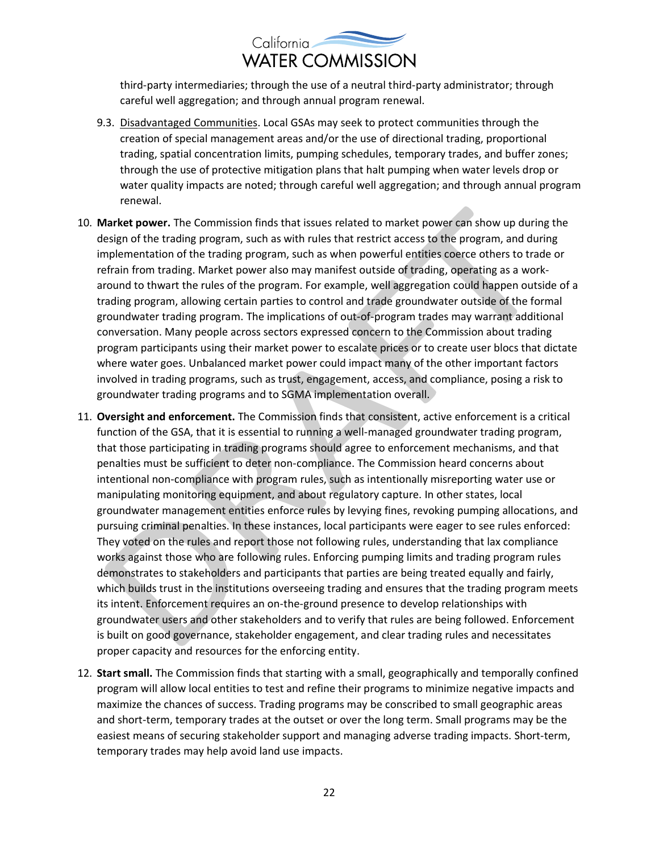

third-party intermediaries; through the use of a neutral third-party administrator; through careful well aggregation; and through annual program renewal.

- 9.3. Disadvantaged Communities. Local GSAs may seek to protect communities through the creation of special management areas and/or the use of directional trading, proportional trading, spatial concentration limits, pumping schedules, temporary trades, and buffer zones; through the use of protective mitigation plans that halt pumping when water levels drop or water quality impacts are noted; through careful well aggregation; and through annual program renewal.
- 10. **Market power.** The Commission finds that issues related to market power can show up during the design of the trading program, such as with rules that restrict access to the program, and during implementation of the trading program, such as when powerful entities coerce others to trade or refrain from trading. Market power also may manifest outside of trading, operating as a workaround to thwart the rules of the program. For example, well aggregation could happen outside of a trading program, allowing certain parties to control and trade groundwater outside of the formal groundwater trading program. The implications of out-of-program trades may warrant additional conversation. Many people across sectors expressed concern to the Commission about trading program participants using their market power to escalate prices or to create user blocs that dictate where water goes. Unbalanced market power could impact many of the other important factors involved in trading programs, such as trust, engagement, access, and compliance, posing a risk to groundwater trading programs and to SGMA implementation overall.
- 11. **Oversight and enforcement.** The Commission finds that consistent, active enforcement is a critical function of the GSA, that it is essential to running a well-managed groundwater trading program, that those participating in trading programs should agree to enforcement mechanisms, and that penalties must be sufficient to deter non-compliance. The Commission heard concerns about intentional non-compliance with program rules, such as intentionally misreporting water use or manipulating monitoring equipment, and about regulatory capture. In other states, local groundwater management entities enforce rules by levying fines, revoking pumping allocations, and pursuing criminal penalties. In these instances, local participants were eager to see rules enforced: They voted on the rules and report those not following rules, understanding that lax compliance works against those who are following rules. Enforcing pumping limits and trading program rules demonstrates to stakeholders and participants that parties are being treated equally and fairly, which builds trust in the institutions overseeing trading and ensures that the trading program meets its intent. Enforcement requires an on-the-ground presence to develop relationships with groundwater users and other stakeholders and to verify that rules are being followed. Enforcement is built on good governance, stakeholder engagement, and clear trading rules and necessitates proper capacity and resources for the enforcing entity.
- 12. **Start small.** The Commission finds that starting with a small, geographically and temporally confined program will allow local entities to test and refine their programs to minimize negative impacts and maximize the chances of success. Trading programs may be conscribed to small geographic areas and short-term, temporary trades at the outset or over the long term. Small programs may be the easiest means of securing stakeholder support and managing adverse trading impacts. Short-term, temporary trades may help avoid land use impacts.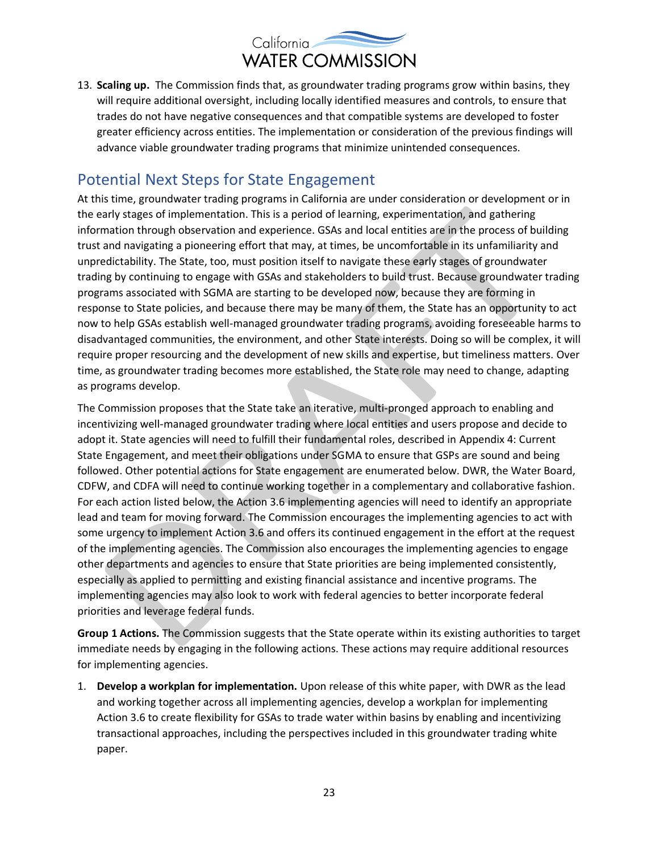

13. **Scaling up.** The Commission finds that, as groundwater trading programs grow within basins, they will require additional oversight, including locally identified measures and controls, to ensure that trades do not have negative consequences and that compatible systems are developed to foster greater efficiency across entities. The implementation or consideration of the previous findings will advance viable groundwater trading programs that minimize unintended consequences.

#### Potential Next Steps for State Engagement

At this time, groundwater trading programs in California are under consideration or development or in the early stages of implementation. This is a period of learning, experimentation, and gathering information through observation and experience. GSAs and local entities are in the process of building trust and navigating a pioneering effort that may, at times, be uncomfortable in its unfamiliarity and unpredictability. The State, too, must position itself to navigate these early stages of groundwater trading by continuing to engage with GSAs and stakeholders to build trust. Because groundwater trading programs associated with SGMA are starting to be developed now, because they are forming in response to State policies, and because there may be many of them, the State has an opportunity to act now to help GSAs establish well-managed groundwater trading programs, avoiding foreseeable harms to disadvantaged communities, the environment, and other State interests. Doing so will be complex, it will require proper resourcing and the development of new skills and expertise, but timeliness matters. Over time, as groundwater trading becomes more established, the State role may need to change, adapting as programs develop.

The Commission proposes that the State take an iterative, multi-pronged approach to enabling and incentivizing well-managed groundwater trading where local entities and users propose and decide to adopt it. State agencies will need to fulfill their fundamental roles, described in Appendix 4: Current State Engagement, and meet their obligations under SGMA to ensure that GSPs are sound and being followed. Other potential actions for State engagement are enumerated below. DWR, the Water Board, CDFW, and CDFA will need to continue working together in a complementary and collaborative fashion. For each action listed below, the Action 3.6 implementing agencies will need to identify an appropriate lead and team for moving forward. The Commission encourages the implementing agencies to act with some urgency to implement Action 3.6 and offers its continued engagement in the effort at the request of the implementing agencies. The Commission also encourages the implementing agencies to engage other departments and agencies to ensure that State priorities are being implemented consistently, especially as applied to permitting and existing financial assistance and incentive programs. The implementing agencies may also look to work with federal agencies to better incorporate federal priorities and leverage federal funds.

**Group 1 Actions.** The Commission suggests that the State operate within its existing authorities to target immediate needs by engaging in the following actions. These actions may require additional resources for implementing agencies.

1. **Develop a workplan for implementation.** Upon release of this white paper, with DWR as the lead and working together across all implementing agencies, develop a workplan for implementing Action 3.6 to create flexibility for GSAs to trade water within basins by enabling and incentivizing transactional approaches, including the perspectives included in this groundwater trading white paper.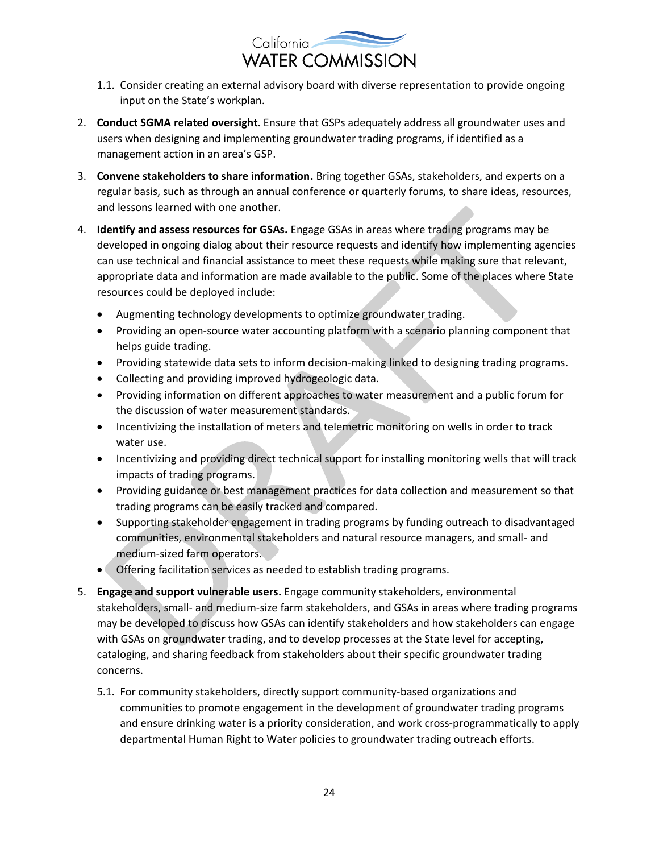

- 1.1. Consider creating an external advisory board with diverse representation to provide ongoing input on the State's workplan.
- 2. **Conduct SGMA related oversight.** Ensure that GSPs adequately address all groundwater uses and users when designing and implementing groundwater trading programs, if identified as a management action in an area's GSP.
- 3. **Convene stakeholders to share information.** Bring together GSAs, stakeholders, and experts on a regular basis, such as through an annual conference or quarterly forums, to share ideas, resources, and lessons learned with one another.
- 4. **Identify and assess resources for GSAs.** Engage GSAs in areas where trading programs may be developed in ongoing dialog about their resource requests and identify how implementing agencies can use technical and financial assistance to meet these requests while making sure that relevant, appropriate data and information are made available to the public. Some of the places where State resources could be deployed include:
	- Augmenting technology developments to optimize groundwater trading.
	- Providing an open-source water accounting platform with a scenario planning component that helps guide trading.
	- Providing statewide data sets to inform decision-making linked to designing trading programs.
	- Collecting and providing improved hydrogeologic data.
	- Providing information on different approaches to water measurement and a public forum for the discussion of water measurement standards.
	- Incentivizing the installation of meters and telemetric monitoring on wells in order to track water use.
	- Incentivizing and providing direct technical support for installing monitoring wells that will track impacts of trading programs.
	- Providing guidance or best management practices for data collection and measurement so that trading programs can be easily tracked and compared.
	- Supporting stakeholder engagement in trading programs by funding outreach to disadvantaged communities, environmental stakeholders and natural resource managers, and small- and medium-sized farm operators.
	- Offering facilitation services as needed to establish trading programs.
- 5. **Engage and support vulnerable users.** Engage community stakeholders, environmental stakeholders, small- and medium-size farm stakeholders, and GSAs in areas where trading programs may be developed to discuss how GSAs can identify stakeholders and how stakeholders can engage with GSAs on groundwater trading, and to develop processes at the State level for accepting, cataloging, and sharing feedback from stakeholders about their specific groundwater trading concerns.
	- 5.1. For community stakeholders, directly support community-based organizations and communities to promote engagement in the development of groundwater trading programs and ensure drinking water is a priority consideration, and work cross-programmatically to apply departmental Human Right to Water policies to groundwater trading outreach efforts.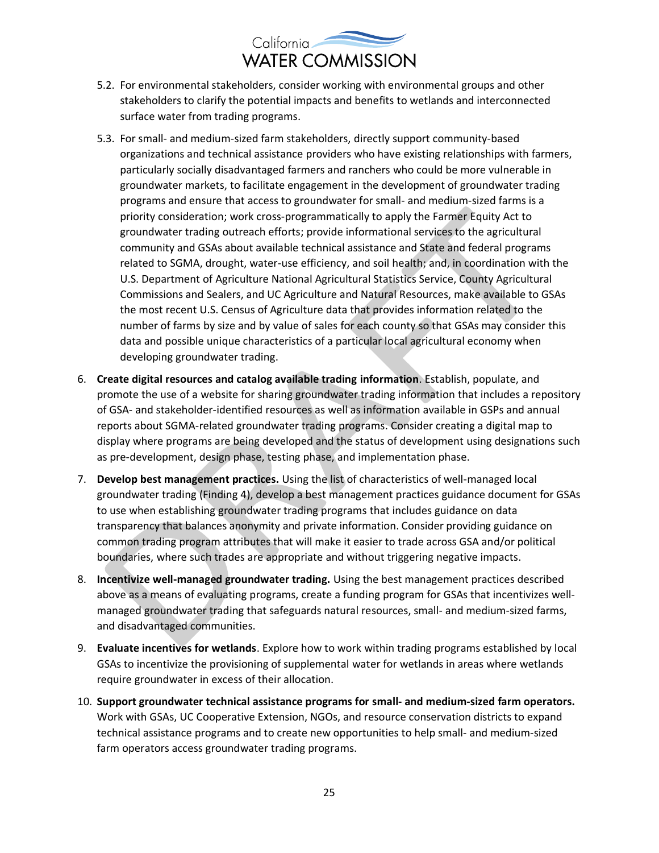

- 5.2. For environmental stakeholders, consider working with environmental groups and other stakeholders to clarify the potential impacts and benefits to wetlands and interconnected surface water from trading programs.
- 5.3. For small- and medium-sized farm stakeholders, directly support community‐based organizations and technical assistance providers who have existing relationships with farmers, particularly socially disadvantaged farmers and ranchers who could be more vulnerable in groundwater markets, to facilitate engagement in the development of groundwater trading programs and ensure that access to groundwater for small- and medium-sized farms is a priority consideration; work cross‐programmatically to apply the Farmer Equity Act to groundwater trading outreach efforts; provide informational services to the agricultural community and GSAs about available technical assistance and State and federal programs related to SGMA, drought, water-use efficiency, and soil health; and, in coordination with the U.S. Department of Agriculture National Agricultural Statistics Service, County Agricultural Commissions and Sealers, and UC Agriculture and Natural Resources, make available to GSAs the most recent U.S. Census of Agriculture data that provides information related to the number of farms by size and by value of sales for each county so that GSAs may consider this data and possible unique characteristics of a particular local agricultural economy when developing groundwater trading.
- 6. **Create digital resources and catalog available trading information**. Establish, populate, and promote the use of a website for sharing groundwater trading information that includes a repository of GSA- and stakeholder-identified resources as well as information available in GSPs and annual reports about SGMA-related groundwater trading programs. Consider creating a digital map to display where programs are being developed and the status of development using designations such as pre-development, design phase, testing phase, and implementation phase.
- 7. **Develop best management practices.** Using the list of characteristics of well-managed local groundwater trading (Finding 4), develop a best management practices guidance document for GSAs to use when establishing groundwater trading programs that includes guidance on data transparency that balances anonymity and private information. Consider providing guidance on common trading program attributes that will make it easier to trade across GSA and/or political boundaries, where such trades are appropriate and without triggering negative impacts.
- 8. **Incentivize well-managed groundwater trading.** Using the best management practices described above as a means of evaluating programs, create a funding program for GSAs that incentivizes wellmanaged groundwater trading that safeguards natural resources, small- and medium-sized farms, and disadvantaged communities.
- 9. **Evaluate incentives for wetlands**. Explore how to work within trading programs established by local GSAs to incentivize the provisioning of supplemental water for wetlands in areas where wetlands require groundwater in excess of their allocation.
- 10. **Support groundwater technical assistance programs for small- and medium-sized farm operators.**  Work with GSAs, UC Cooperative Extension, NGOs, and resource conservation districts to expand technical assistance programs and to create new opportunities to help small- and medium-sized farm operators access groundwater trading programs.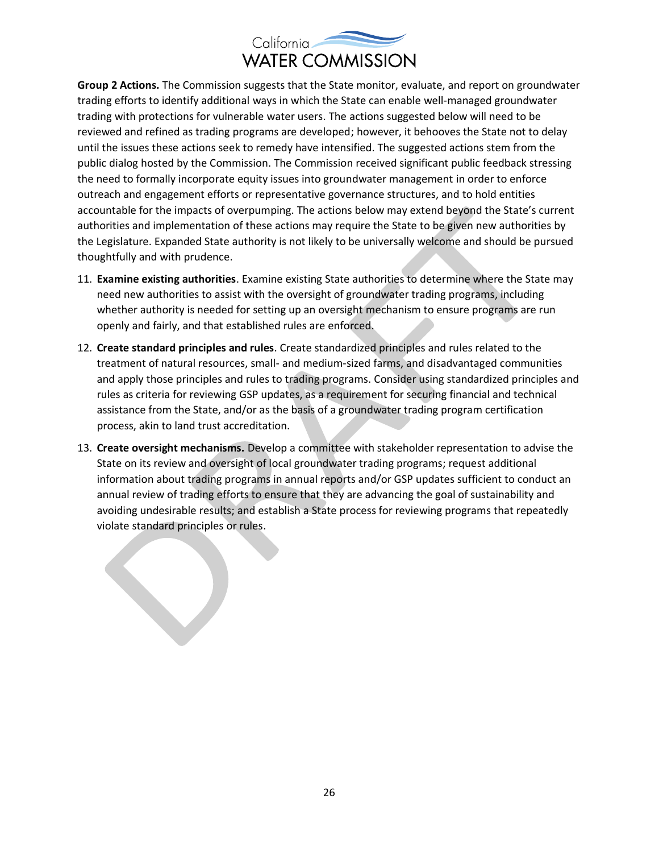

**Group 2 Actions.** The Commission suggests that the State monitor, evaluate, and report on groundwater trading efforts to identify additional ways in which the State can enable well-managed groundwater trading with protections for vulnerable water users. The actions suggested below will need to be reviewed and refined as trading programs are developed; however, it behooves the State not to delay until the issues these actions seek to remedy have intensified. The suggested actions stem from the public dialog hosted by the Commission. The Commission received significant public feedback stressing the need to formally incorporate equity issues into groundwater management in order to enforce outreach and engagement efforts or representative governance structures, and to hold entities accountable for the impacts of overpumping. The actions below may extend beyond the State's current authorities and implementation of these actions may require the State to be given new authorities by the Legislature. Expanded State authority is not likely to be universally welcome and should be pursued thoughtfully and with prudence.

- 11. **Examine existing authorities**. Examine existing State authorities to determine where the State may need new authorities to assist with the oversight of groundwater trading programs, including whether authority is needed for setting up an oversight mechanism to ensure programs are run openly and fairly, and that established rules are enforced.
- 12. **Create standard principles and rules**. Create standardized principles and rules related to the treatment of natural resources, small- and medium-sized farms, and disadvantaged communities and apply those principles and rules to trading programs. Consider using standardized principles and rules as criteria for reviewing GSP updates, as a requirement for securing financial and technical assistance from the State, and/or as the basis of a groundwater trading program certification process, akin to land trust accreditation.
- 13. **Create oversight mechanisms.** Develop a committee with stakeholder representation to advise the State on its review and oversight of local groundwater trading programs; request additional information about trading programs in annual reports and/or GSP updates sufficient to conduct an annual review of trading efforts to ensure that they are advancing the goal of sustainability and avoiding undesirable results; and establish a State process for reviewing programs that repeatedly violate standard principles or rules.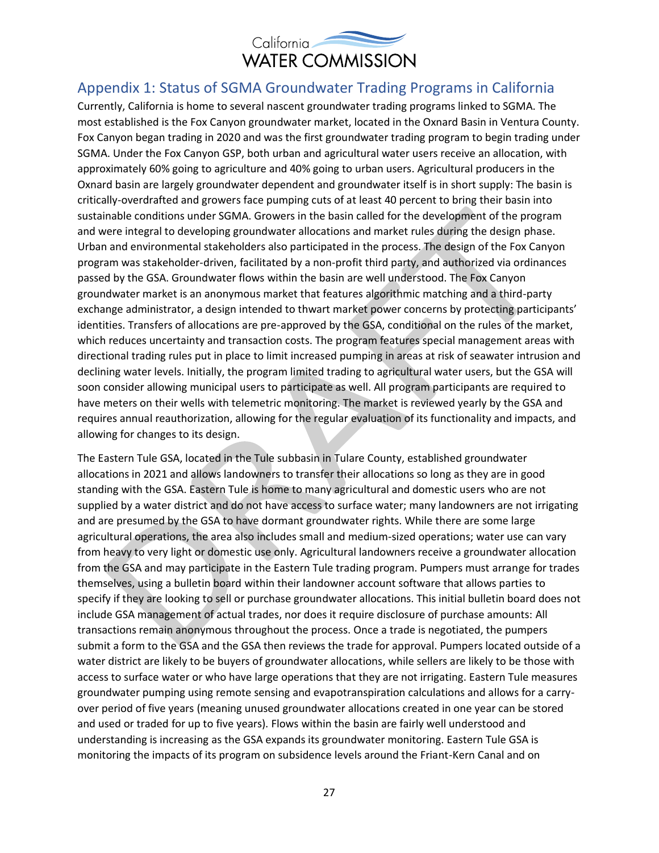

#### Appendix 1: Status of SGMA Groundwater Trading Programs in California

Currently, California is home to several nascent groundwater trading programs linked to SGMA. The most established is the Fox Canyon groundwater market, located in the Oxnard Basin in Ventura County. Fox Canyon began trading in 2020 and was the first groundwater trading program to begin trading under SGMA. Under the Fox Canyon GSP, both urban and agricultural water users receive an allocation, with approximately 60% going to agriculture and 40% going to urban users. Agricultural producers in the Oxnard basin are largely groundwater dependent and groundwater itself is in short supply: The basin is critically-overdrafted and growers face pumping cuts of at least 40 percent to bring their basin into sustainable conditions under SGMA. Growers in the basin called for the development of the program and were integral to developing groundwater allocations and market rules during the design phase. Urban and environmental stakeholders also participated in the process. The design of the Fox Canyon program was stakeholder-driven, facilitated by a non-profit third party, and authorized via ordinances passed by the GSA. Groundwater flows within the basin are well understood. The Fox Canyon groundwater market is an anonymous market that features algorithmic matching and a third-party exchange administrator, a design intended to thwart market power concerns by protecting participants' identities. Transfers of allocations are pre-approved by the GSA, conditional on the rules of the market, which reduces uncertainty and transaction costs. The program features special management areas with directional trading rules put in place to limit increased pumping in areas at risk of seawater intrusion and declining water levels. Initially, the program limited trading to agricultural water users, but the GSA will soon consider allowing municipal users to participate as well. All program participants are required to have meters on their wells with telemetric monitoring. The market is reviewed yearly by the GSA and requires annual reauthorization, allowing for the regular evaluation of its functionality and impacts, and allowing for changes to its design.

The Eastern Tule GSA, located in the Tule subbasin in Tulare County, established groundwater allocations in 2021 and allows landowners to transfer their allocations so long as they are in good standing with the GSA. Eastern Tule is home to many agricultural and domestic users who are not supplied by a water district and do not have access to surface water; many landowners are not irrigating and are presumed by the GSA to have dormant groundwater rights. While there are some large agricultural operations, the area also includes small and medium-sized operations; water use can vary from heavy to very light or domestic use only. Agricultural landowners receive a groundwater allocation from the GSA and may participate in the Eastern Tule trading program. Pumpers must arrange for trades themselves, using a bulletin board within their landowner account software that allows parties to specify if they are looking to sell or purchase groundwater allocations. This initial bulletin board does not include GSA management of actual trades, nor does it require disclosure of purchase amounts: All transactions remain anonymous throughout the process. Once a trade is negotiated, the pumpers submit a form to the GSA and the GSA then reviews the trade for approval. Pumpers located outside of a water district are likely to be buyers of groundwater allocations, while sellers are likely to be those with access to surface water or who have large operations that they are not irrigating. Eastern Tule measures groundwater pumping using remote sensing and evapotranspiration calculations and allows for a carryover period of five years (meaning unused groundwater allocations created in one year can be stored and used or traded for up to five years). Flows within the basin are fairly well understood and understanding is increasing as the GSA expands its groundwater monitoring. Eastern Tule GSA is monitoring the impacts of its program on subsidence levels around the Friant-Kern Canal and on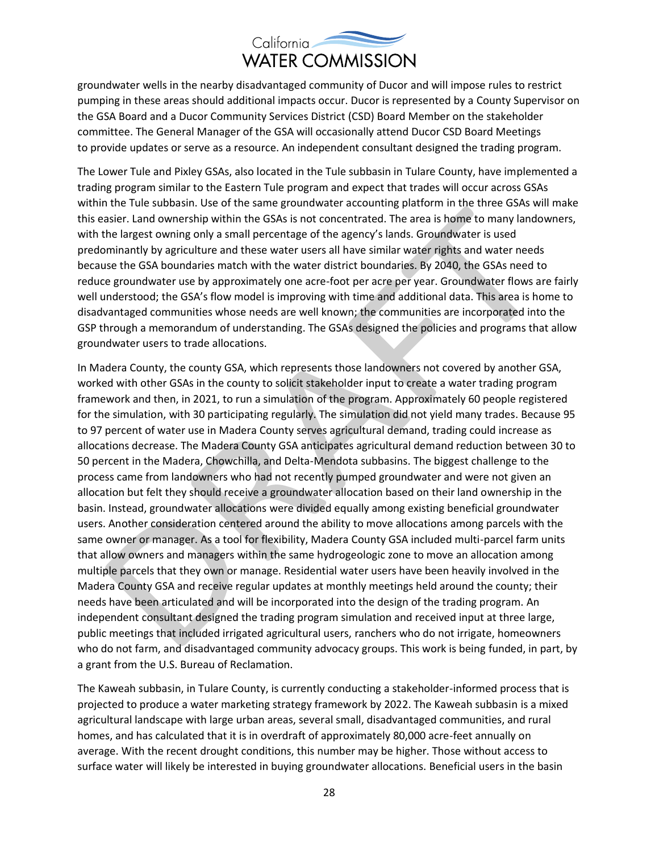groundwater wells in the nearby disadvantaged community of Ducor and will impose rules to restrict pumping in these areas should additional impacts occur. Ducor is represented by a County Supervisor on the GSA Board and a Ducor Community Services District (CSD) Board Member on the stakeholder committee. The General Manager of the GSA will occasionally attend Ducor CSD Board Meetings to provide updates or serve as a resource. An independent consultant designed the trading program.

The Lower Tule and Pixley GSAs, also located in the Tule subbasin in Tulare County, have implemented a trading program similar to the Eastern Tule program and expect that trades will occur across GSAs within the Tule subbasin. Use of the same groundwater accounting platform in the three GSAs will make this easier. Land ownership within the GSAs is not concentrated. The area is home to many landowners, with the largest owning only a small percentage of the agency's lands. Groundwater is used predominantly by agriculture and these water users all have similar water rights and water needs because the GSA boundaries match with the water district boundaries. By 2040, the GSAs need to reduce groundwater use by approximately one acre-foot per acre per year. Groundwater flows are fairly well understood; the GSA's flow model is improving with time and additional data. This area is home to disadvantaged communities whose needs are well known; the communities are incorporated into the GSP through a memorandum of understanding. The GSAs designed the policies and programs that allow groundwater users to trade allocations.

In Madera County, the county GSA, which represents those landowners not covered by another GSA, worked with other GSAs in the county to solicit stakeholder input to create a water trading program framework and then, in 2021, to run a simulation of the program. Approximately 60 people registered for the simulation, with 30 participating regularly. The simulation did not yield many trades. Because 95 to 97 percent of water use in Madera County serves agricultural demand, trading could increase as allocations decrease. The Madera County GSA anticipates agricultural demand reduction between 30 to 50 percent in the Madera, Chowchilla, and Delta-Mendota subbasins. The biggest challenge to the process came from landowners who had not recently pumped groundwater and were not given an allocation but felt they should receive a groundwater allocation based on their land ownership in the basin. Instead, groundwater allocations were divided equally among existing beneficial groundwater users. Another consideration centered around the ability to move allocations among parcels with the same owner or manager. As a tool for flexibility, Madera County GSA included multi-parcel farm units that allow owners and managers within the same hydrogeologic zone to move an allocation among multiple parcels that they own or manage. Residential water users have been heavily involved in the Madera County GSA and receive regular updates at monthly meetings held around the county; their needs have been articulated and will be incorporated into the design of the trading program. An independent consultant designed the trading program simulation and received input at three large, public meetings that included irrigated agricultural users, ranchers who do not irrigate, homeowners who do not farm, and disadvantaged community advocacy groups. This work is being funded, in part, by a grant from the U.S. Bureau of Reclamation.

The Kaweah subbasin, in Tulare County, is currently conducting a stakeholder-informed process that is projected to produce a water marketing strategy framework by 2022. The Kaweah subbasin is a mixed agricultural landscape with large urban areas, several small, disadvantaged communities, and rural homes, and has calculated that it is in overdraft of approximately 80,000 acre-feet annually on average. With the recent drought conditions, this number may be higher. Those without access to surface water will likely be interested in buying groundwater allocations. Beneficial users in the basin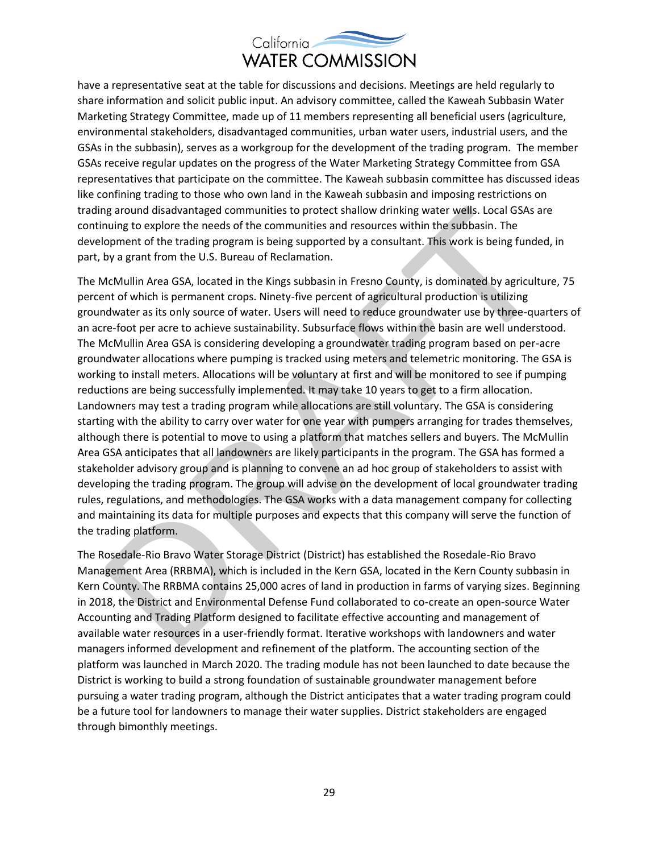

have a representative seat at the table for discussions and decisions. Meetings are held regularly to share information and solicit public input. An advisory committee, called the Kaweah Subbasin Water Marketing Strategy Committee, made up of 11 members representing all beneficial users (agriculture, environmental stakeholders, disadvantaged communities, urban water users, industrial users, and the GSAs in the subbasin), serves as a workgroup for the development of the trading program. The member GSAs receive regular updates on the progress of the Water Marketing Strategy Committee from GSA representatives that participate on the committee. The Kaweah subbasin committee has discussed ideas like confining trading to those who own land in the Kaweah subbasin and imposing restrictions on trading around disadvantaged communities to protect shallow drinking water wells. Local GSAs are continuing to explore the needs of the communities and resources within the subbasin. The development of the trading program is being supported by a consultant. This work is being funded, in part, by a grant from the U.S. Bureau of Reclamation.

The McMullin Area GSA, located in the Kings subbasin in Fresno County, is dominated by agriculture, 75 percent of which is permanent crops. Ninety-five percent of agricultural production is utilizing groundwater as its only source of water. Users will need to reduce groundwater use by three-quarters of an acre-foot per acre to achieve sustainability. Subsurface flows within the basin are well understood. The McMullin Area GSA is considering developing a groundwater trading program based on per-acre groundwater allocations where pumping is tracked using meters and telemetric monitoring. The GSA is working to install meters. Allocations will be voluntary at first and will be monitored to see if pumping reductions are being successfully implemented. It may take 10 years to get to a firm allocation. Landowners may test a trading program while allocations are still voluntary. The GSA is considering starting with the ability to carry over water for one year with pumpers arranging for trades themselves, although there is potential to move to using a platform that matches sellers and buyers. The McMullin Area GSA anticipates that all landowners are likely participants in the program. The GSA has formed a stakeholder advisory group and is planning to convene an ad hoc group of stakeholders to assist with developing the trading program. The group will advise on the development of local groundwater trading rules, regulations, and methodologies. The GSA works with a data management company for collecting and maintaining its data for multiple purposes and expects that this company will serve the function of the trading platform.

The Rosedale-Rio Bravo Water Storage District (District) has established the Rosedale-Rio Bravo Management Area (RRBMA), which is included in the Kern GSA, located in the Kern County subbasin in Kern County. The RRBMA contains 25,000 acres of land in production in farms of varying sizes. Beginning in 2018, the District and Environmental Defense Fund collaborated to co-create an open-source Water Accounting and Trading Platform designed to facilitate effective accounting and management of available water resources in a user-friendly format. Iterative workshops with landowners and water managers informed development and refinement of the platform. The accounting section of the platform was launched in March 2020. The trading module has not been launched to date because the District is working to build a strong foundation of sustainable groundwater management before pursuing a water trading program, although the District anticipates that a water trading program could be a future tool for landowners to manage their water supplies. District stakeholders are engaged through bimonthly meetings.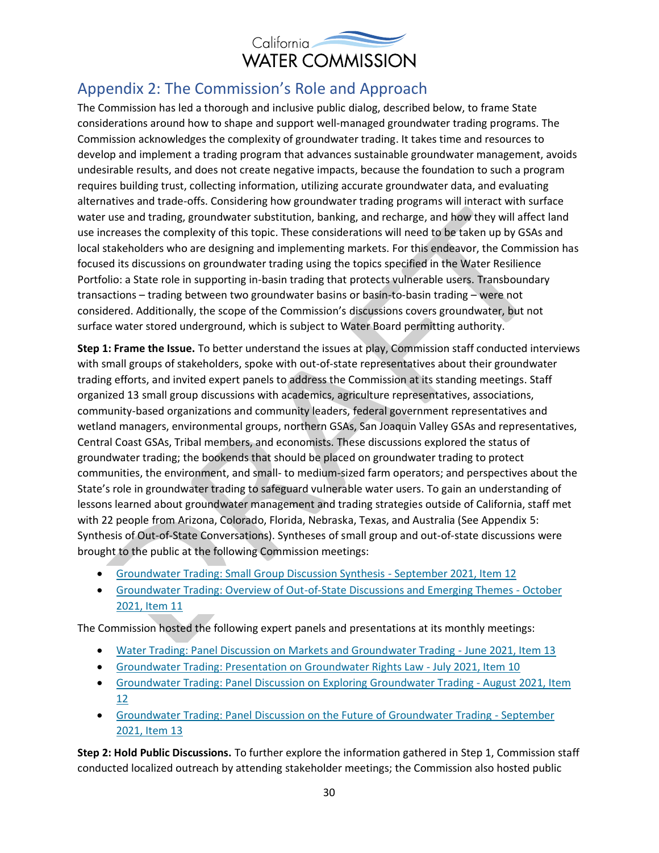

### Appendix 2: The Commission's Role and Approach

The Commission has led a thorough and inclusive public dialog, described below, to frame State considerations around how to shape and support well-managed groundwater trading programs. The Commission acknowledges the complexity of groundwater trading. It takes time and resources to develop and implement a trading program that advances sustainable groundwater management, avoids undesirable results, and does not create negative impacts, because the foundation to such a program requires building trust, collecting information, utilizing accurate groundwater data, and evaluating alternatives and trade-offs. Considering how groundwater trading programs will interact with surface water use and trading, groundwater substitution, banking, and recharge, and how they will affect land use increases the complexity of this topic. These considerations will need to be taken up by GSAs and local stakeholders who are designing and implementing markets. For this endeavor, the Commission has focused its discussions on groundwater trading using the topics specified in the Water Resilience Portfolio: a State role in supporting in-basin trading that protects vulnerable users. Transboundary transactions – trading between two groundwater basins or basin-to-basin trading – were not considered. Additionally, the scope of the Commission's discussions covers groundwater, but not surface water stored underground, which is subject to Water Board permitting authority.

**Step 1: Frame the Issue.** To better understand the issues at play, Commission staff conducted interviews with small groups of stakeholders, spoke with out-of-state representatives about their groundwater trading efforts, and invited expert panels to address the Commission at its standing meetings. Staff organized 13 small group discussions with academics, agriculture representatives, associations, community-based organizations and community leaders, federal government representatives and wetland managers, environmental groups, northern GSAs, San Joaquin Valley GSAs and representatives, Central Coast GSAs, Tribal members, and economists. These discussions explored the status of groundwater trading; the bookends that should be placed on groundwater trading to protect communities, the environment, and small- to medium-sized farm operators; and perspectives about the State's role in groundwater trading to safeguard vulnerable water users. To gain an understanding of lessons learned about groundwater management and trading strategies outside of California, staff met with 22 people from Arizona, Colorado, Florida, Nebraska, Texas, and Australia (See Appendix 5: Synthesis of Out-of-State Conversations). Syntheses of small group and out-of-state discussions were brought to the public at the following Commission meetings:

- [Groundwater Trading: Small Group Discussion Synthesis -](https://cwc.ca.gov/Meetings/All-Meetings/2021/Meeting-of-the-California-Water-Commission-Sept-14-2021) September 2021, Item 12
- [Groundwater Trading: Overview of Out-of-State Discussions and Emerging Themes -](https://cwc.ca.gov/Meetings/All-Meetings/2021/Meeting-of-the-California-Water-Commission-Oct-20-2021) October [2021, Item 11](https://cwc.ca.gov/Meetings/All-Meetings/2021/Meeting-of-the-California-Water-Commission-Oct-20-2021)

The Commission hosted the following expert panels and presentations at its monthly meetings:

- [Water Trading: Panel Discussion on Markets and Groundwater Trading -](https://cwc.ca.gov/Meetings/All-Meetings/2021/Meeting-of-the-California-Water-Commission-June-16-2021) June 2021, Item 13
- [Groundwater Trading: Presentation on Groundwater Rights Law -](https://cwc.ca.gov/Meetings/All-Meetings/2021/Meeting-of-the-California-Water-Commission-July-21-2021) July 2021, Item 10
- [Groundwater Trading: Panel Discussion on Exploring Groundwater Trading -](https://cwc.ca.gov/Meetings/All-Meetings/2021/Meeting-of-the-California-Water-Commission-Aug-18-2021) August 2021, Item [12](https://cwc.ca.gov/Meetings/All-Meetings/2021/Meeting-of-the-California-Water-Commission-Aug-18-2021)
- [Groundwater Trading: Panel Discussion on the Future of Groundwater Trading -](https://cwc.ca.gov/Meetings/All-Meetings/2021/Meeting-of-the-California-Water-Commission-Sept-14-2021) September [2021, Item 13](https://cwc.ca.gov/Meetings/All-Meetings/2021/Meeting-of-the-California-Water-Commission-Sept-14-2021)

**Step 2: Hold Public Discussions.** To further explore the information gathered in Step 1, Commission staff conducted localized outreach by attending stakeholder meetings; the Commission also hosted public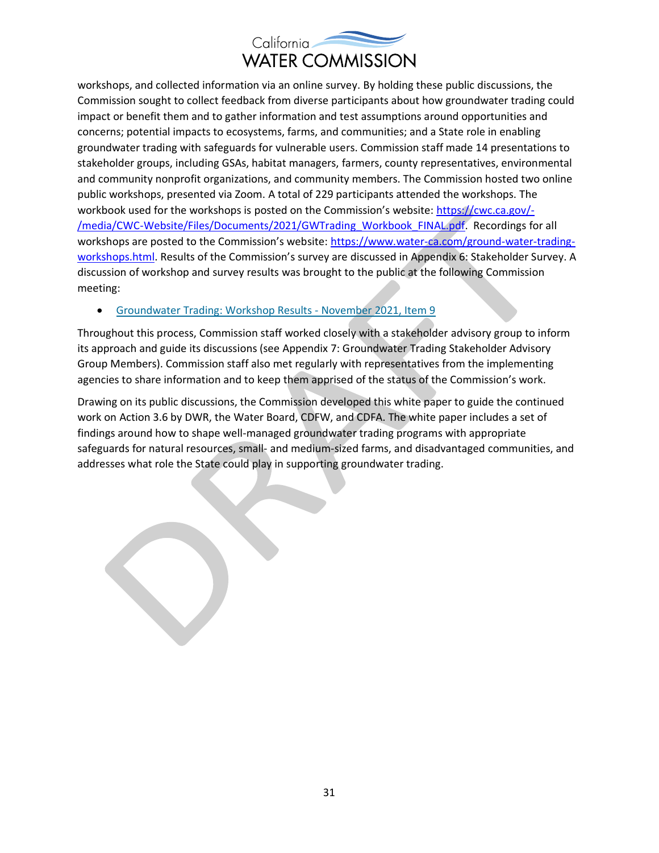

workshops, and collected information via an online survey. By holding these public discussions, the Commission sought to collect feedback from diverse participants about how groundwater trading could impact or benefit them and to gather information and test assumptions around opportunities and concerns; potential impacts to ecosystems, farms, and communities; and a State role in enabling groundwater trading with safeguards for vulnerable users. Commission staff made 14 presentations to stakeholder groups, including GSAs, habitat managers, farmers, county representatives, environmental and community nonprofit organizations, and community members. The Commission hosted two online public workshops, presented via Zoom. A total of 229 participants attended the workshops. The workbook used for the workshops is posted on the Commission's website: [https://cwc.ca.gov/-](https://cwc.ca.gov/-/media/CWC-Website/Files/Documents/2021/GWTrading_Workbook_FINAL.pdf) [/media/CWC-Website/Files/Documents/2021/GWTrading\\_Workbook\\_FINAL.pdf.](https://cwc.ca.gov/-/media/CWC-Website/Files/Documents/2021/GWTrading_Workbook_FINAL.pdf) Recordings for all workshops are posted to the Commission's website: [https://www.water-ca.com/ground-water-trading](https://www.water-ca.com/ground-water-trading-workshops.html)[workshops.html.](https://www.water-ca.com/ground-water-trading-workshops.html) Results of the Commission's survey are discussed in Appendix 6: Stakeholder Survey. A discussion of workshop and survey results was brought to the public at the following Commission meeting:

#### • [Groundwater Trading: Workshop Results -](https://cwc.ca.gov/Meetings/All-Meetings/2021/Meeting-of-the-California-Water-Commission-Nov-17-2021) November 2021, Item 9

Throughout this process, Commission staff worked closely with a stakeholder advisory group to inform its approach and guide its discussions (see Appendix 7: Groundwater Trading Stakeholder Advisory Group Members). Commission staff also met regularly with representatives from the implementing agencies to share information and to keep them apprised of the status of the Commission's work.

Drawing on its public discussions, the Commission developed this white paper to guide the continued work on Action 3.6 by DWR, the Water Board, CDFW, and CDFA. The white paper includes a set of findings around how to shape well-managed groundwater trading programs with appropriate safeguards for natural resources, small- and medium-sized farms, and disadvantaged communities, and addresses what role the State could play in supporting groundwater trading.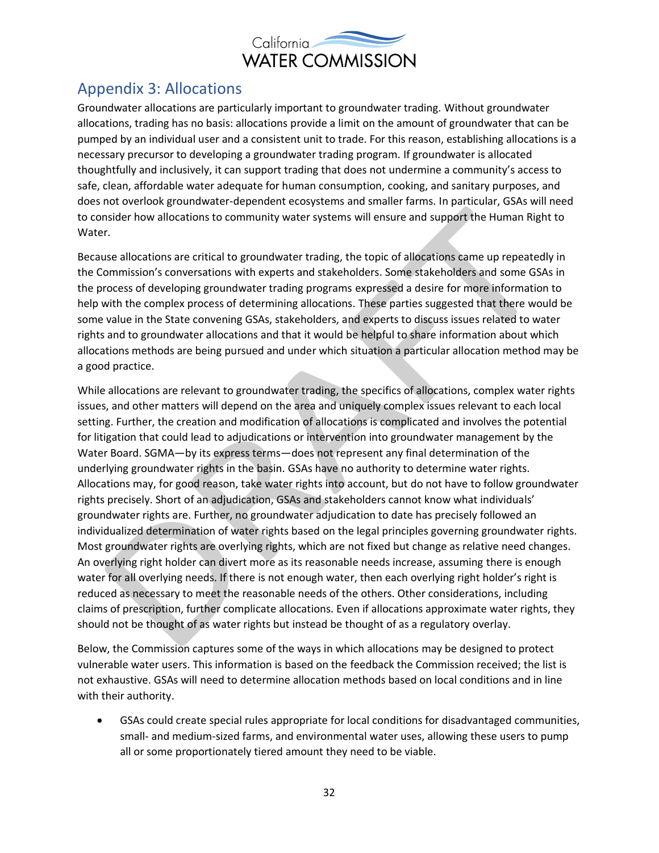

## Appendix 3: Allocations

Groundwater allocations are particularly important to groundwater trading. Without groundwater allocations, trading has no basis: allocations provide a limit on the amount of groundwater that can be pumped by an individual user and a consistent unit to trade. For this reason, establishing allocations is a necessary precursor to developing a groundwater trading program. If groundwater is allocated thoughtfully and inclusively, it can support trading that does not undermine a community's access to safe, clean, affordable water adequate for human consumption, cooking, and sanitary purposes, and does not overlook groundwater-dependent ecosystems and smaller farms. In particular, GSAs will need to consider how allocations to community water systems will ensure and support the Human Right to Water.

Because allocations are critical to groundwater trading, the topic of allocations came up repeatedly in the Commission's conversations with experts and stakeholders. Some stakeholders and some GSAs in the process of developing groundwater trading programs expressed a desire for more information to help with the complex process of determining allocations. These parties suggested that there would be some value in the State convening GSAs, stakeholders, and experts to discuss issues related to water rights and to groundwater allocations and that it would be helpful to share information about which allocations methods are being pursued and under which situation a particular allocation method may be a good practice.

While allocations are relevant to groundwater trading, the specifics of allocations, complex water rights issues, and other matters will depend on the area and uniquely complex issues relevant to each local setting. Further, the creation and modification of allocations is complicated and involves the potential for litigation that could lead to adjudications or intervention into groundwater management by the Water Board. SGMA—by its express terms—does not represent any final determination of the underlying groundwater rights in the basin. GSAs have no authority to determine water rights. Allocations may, for good reason, take water rights into account, but do not have to follow groundwater rights precisely. Short of an adjudication, GSAs and stakeholders cannot know what individuals' groundwater rights are. Further, no groundwater adjudication to date has precisely followed an individualized determination of water rights based on the legal principles governing groundwater rights. Most groundwater rights are overlying rights, which are not fixed but change as relative need changes. An overlying right holder can divert more as its reasonable needs increase, assuming there is enough water for all overlying needs. If there is not enough water, then each overlying right holder's right is reduced as necessary to meet the reasonable needs of the others. Other considerations, including claims of prescription, further complicate allocations. Even if allocations approximate water rights, they should not be thought of as water rights but instead be thought of as a regulatory overlay.

Below, the Commission captures some of the ways in which allocations may be designed to protect vulnerable water users. This information is based on the feedback the Commission received; the list is not exhaustive. GSAs will need to determine allocation methods based on local conditions and in line with their authority.

• GSAs could create special rules appropriate for local conditions for disadvantaged communities, small- and medium-sized farms, and environmental water uses, allowing these users to pump all or some proportionately tiered amount they need to be viable.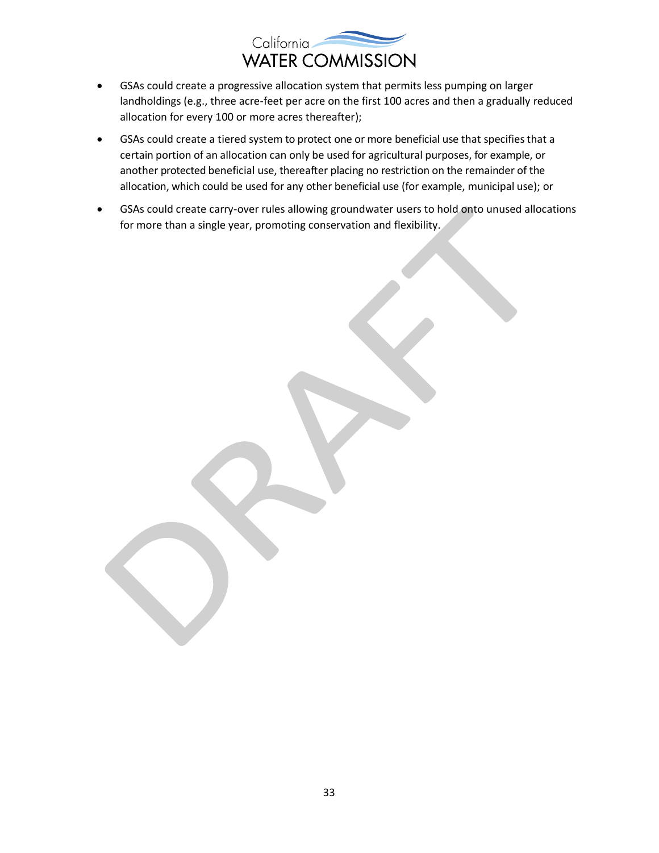

- GSAs could create a progressive allocation system that permits less pumping on larger landholdings (e.g., three acre-feet per acre on the first 100 acres and then a gradually reduced allocation for every 100 or more acres thereafter);
- GSAs could create a tiered system to protect one or more beneficial use that specifies that a certain portion of an allocation can only be used for agricultural purposes, for example, or another protected beneficial use, thereafter placing no restriction on the remainder of the allocation, which could be used for any other beneficial use (for example, municipal use); or
- GSAs could create carry-over rules allowing groundwater users to hold onto unused allocations for more than a single year, promoting conservation and flexibility.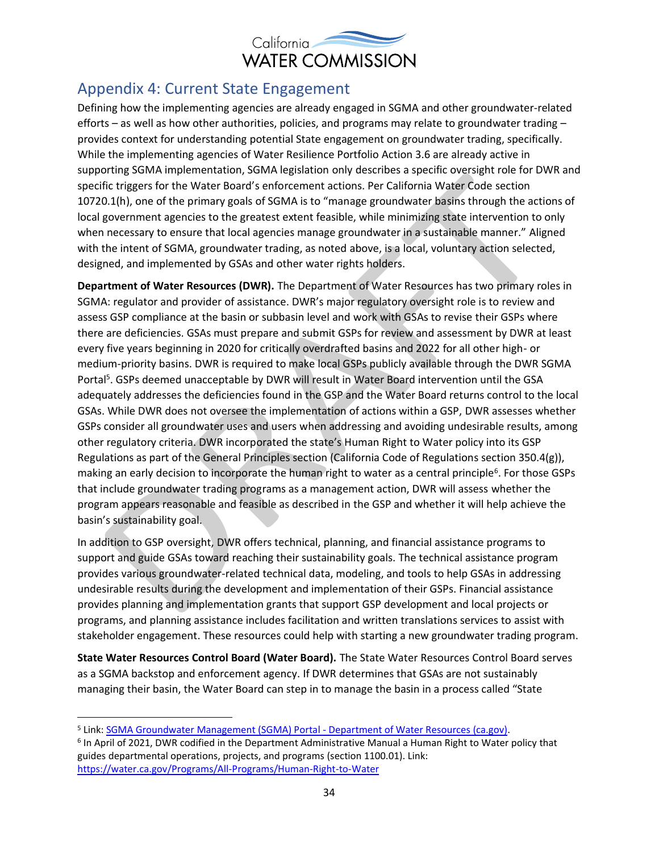

### Appendix 4: Current State Engagement

Defining how the implementing agencies are already engaged in SGMA and other groundwater-related efforts – as well as how other authorities, policies, and programs may relate to groundwater trading – provides context for understanding potential State engagement on groundwater trading, specifically. While the implementing agencies of Water Resilience Portfolio Action 3.6 are already active in supporting SGMA implementation, SGMA legislation only describes a specific oversight role for DWR and specific triggers for the Water Board's enforcement actions. Per California Water Code section 10720.1(h), one of the primary goals of SGMA is to "manage groundwater basins through the actions of local government agencies to the greatest extent feasible, while minimizing state intervention to only when necessary to ensure that local agencies manage groundwater in a sustainable manner." Aligned with the intent of SGMA, groundwater trading, as noted above, is a local, voluntary action selected, designed, and implemented by GSAs and other water rights holders.

**Department of Water Resources (DWR).** The Department of Water Resources has two primary roles in SGMA: regulator and provider of assistance. DWR's major regulatory oversight role is to review and assess GSP compliance at the basin or subbasin level and work with GSAs to revise their GSPs where there are deficiencies. GSAs must prepare and submit GSPs for review and assessment by DWR at least every five years beginning in 2020 for critically overdrafted basins and 2022 for all other high- or medium-priority basins. DWR is required to make local GSPs publicly available through the DWR SGMA Portal<sup>5</sup>. GSPs deemed unacceptable by DWR will result in Water Board intervention until the GSA adequately addresses the deficiencies found in the GSP and the Water Board returns control to the local GSAs. While DWR does not oversee the implementation of actions within a GSP, DWR assesses whether GSPs consider all groundwater uses and users when addressing and avoiding undesirable results, among other regulatory criteria. DWR incorporated the state's Human Right to Water policy into its GSP Regulations as part of the General Principles section (California Code of Regulations section 350.4(g)), making an early decision to incorporate the human right to water as a central principle<sup>6</sup>. For those GSPs that include groundwater trading programs as a management action, DWR will assess whether the program appears reasonable and feasible as described in the GSP and whether it will help achieve the basin's sustainability goal.

In addition to GSP oversight, DWR offers technical, planning, and financial assistance programs to support and guide GSAs toward reaching their sustainability goals. The technical assistance program provides various groundwater-related technical data, modeling, and tools to help GSAs in addressing undesirable results during the development and implementation of their GSPs. Financial assistance provides planning and implementation grants that support GSP development and local projects or programs, and planning assistance includes facilitation and written translations services to assist with stakeholder engagement. These resources could help with starting a new groundwater trading program.

**State Water Resources Control Board (Water Board).** The State Water Resources Control Board serves as a SGMA backstop and enforcement agency. If DWR determines that GSAs are not sustainably managing their basin, the Water Board can step in to manage the basin in a process called "State

<sup>5</sup> Link: [SGMA Groundwater Management \(SGMA\) Portal -](https://sgma.water.ca.gov/portal/) Department of Water Resources (ca.gov).

<sup>6</sup> In April of 2021, DWR codified in the Department Administrative Manual a Human Right to Water policy that guides departmental operations, projects, and programs (section 1100.01). Link: <https://water.ca.gov/Programs/All-Programs/Human-Right-to-Water>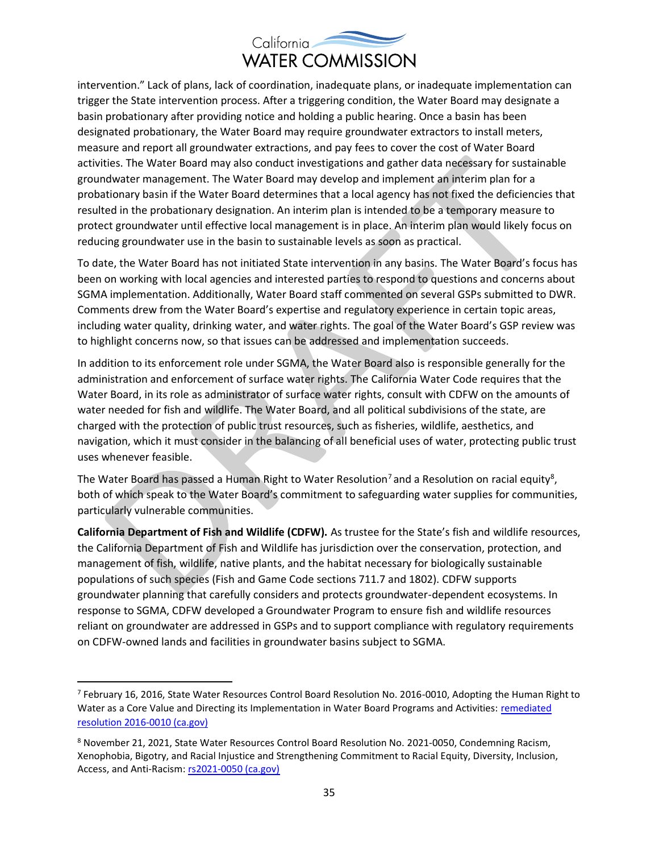

intervention." Lack of plans, lack of coordination, inadequate plans, or inadequate implementation can trigger the State intervention process. After a triggering condition, the Water Board may designate a basin probationary after providing notice and holding a public hearing. Once a basin has been designated probationary, the Water Board may require groundwater extractors to install meters, measure and report all groundwater extractions, and pay fees to cover the cost of Water Board activities. The Water Board may also conduct investigations and gather data necessary for sustainable groundwater management. The Water Board may develop and implement an interim plan for a probationary basin if the Water Board determines that a local agency has not fixed the deficiencies that resulted in the probationary designation. An interim plan is intended to be a temporary measure to protect groundwater until effective local management is in place. An interim plan would likely focus on reducing groundwater use in the basin to sustainable levels as soon as practical.

To date, the Water Board has not initiated State intervention in any basins. The Water Board's focus has been on working with local agencies and interested parties to respond to questions and concerns about SGMA implementation. Additionally, Water Board staff commented on several GSPs submitted to DWR. Comments drew from the Water Board's expertise and regulatory experience in certain topic areas, including water quality, drinking water, and water rights. The goal of the Water Board's GSP review was to highlight concerns now, so that issues can be addressed and implementation succeeds.

In addition to its enforcement role under SGMA, the Water Board also is responsible generally for the administration and enforcement of surface water rights. The California Water Code requires that the Water Board, in its role as administrator of surface water rights, consult with CDFW on the amounts of water needed for fish and wildlife. The Water Board, and all political subdivisions of the state, are charged with the protection of public trust resources, such as fisheries, wildlife, aesthetics, and navigation, which it must consider in the balancing of all beneficial uses of water, protecting public trust uses whenever feasible.

The Water Board has passed a Human Right to Water Resolution<sup>7</sup> and a Resolution on racial equity<sup>8</sup>, both of which speak to the Water Board's commitment to safeguarding water supplies for communities, particularly vulnerable communities.

**California Department of Fish and Wildlife (CDFW).** As trustee for the State's fish and wildlife resources, the California Department of Fish and Wildlife has jurisdiction over the conservation, protection, and management of fish, wildlife, native plants, and the habitat necessary for biologically sustainable populations of such species (Fish and Game Code sections 711.7 and 1802). CDFW supports groundwater planning that carefully considers and protects groundwater-dependent ecosystems. In response to SGMA, CDFW developed a Groundwater Program to ensure fish and wildlife resources reliant on groundwater are addressed in GSPs and to support compliance with regulatory requirements on CDFW-owned lands and facilities in groundwater basins subject to SGMA.

<sup>7</sup> February 16, 2016, State Water Resources Control Board Resolution No. 2016-0010, Adopting the Human Right to Water as a Core Value and Directing its Implementation in Water Board Programs and Activities: [remediated](https://www.waterboards.ca.gov/board_decisions/adopted_orders/resolutions/2016/rs2016_0010.pdf)  [resolution 2016-0010 \(ca.gov\)](https://www.waterboards.ca.gov/board_decisions/adopted_orders/resolutions/2016/rs2016_0010.pdf)

<sup>8</sup> November 21, 2021, State Water Resources Control Board Resolution No. 2021-0050, Condemning Racism, Xenophobia, Bigotry, and Racial Injustice and Strengthening Commitment to Racial Equity, Diversity, Inclusion, Access, and Anti-Racism[: rs2021-0050 \(ca.gov\)](https://www.waterboards.ca.gov/board_decisions/adopted_orders/resolutions/2021/rs2021-0050.pdf)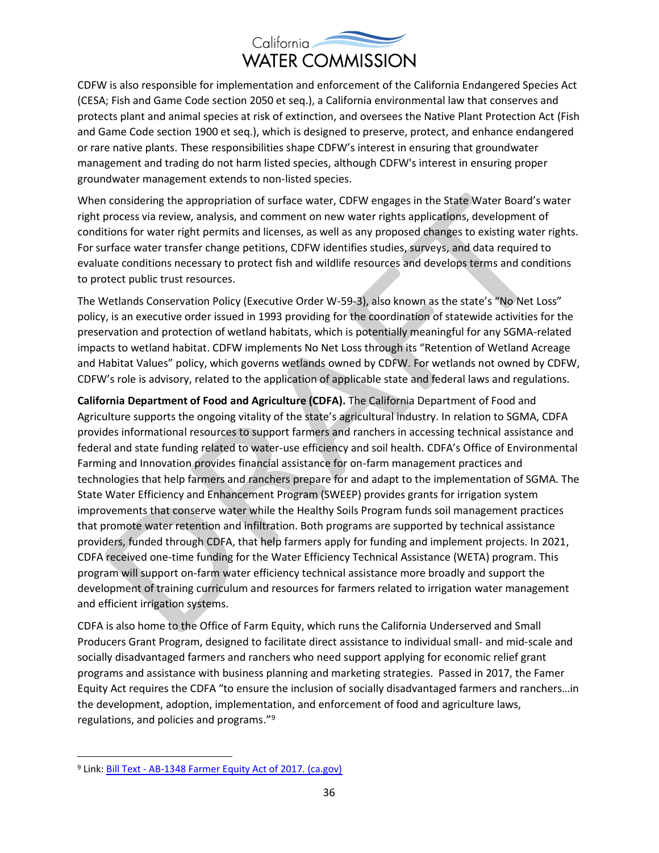

CDFW is also responsible for implementation and enforcement of the California Endangered Species Act (CESA; Fish and Game Code section 2050 et seq.), a California environmental law that conserves and protects plant and animal species at risk of extinction, and oversees the Native Plant Protection Act (Fish and Game Code section 1900 et seq.), which is designed to preserve, protect, and enhance endangered or rare native plants. These responsibilities shape CDFW's interest in ensuring that groundwater management and trading do not harm listed species, although CDFW's interest in ensuring proper groundwater management extends to non-listed species.

When considering the appropriation of surface water, CDFW engages in the State Water Board's water right process via review, analysis, and comment on new water rights applications, development of conditions for water right permits and licenses, as well as any proposed changes to existing water rights. For surface water transfer change petitions, CDFW identifies studies, surveys, and data required to evaluate conditions necessary to protect fish and wildlife resources and develops terms and conditions to protect public trust resources.

The Wetlands Conservation Policy (Executive Order W-59-3), also known as the state's "No Net Loss" policy, is an executive order issued in 1993 providing for the coordination of statewide activities for the preservation and protection of wetland habitats, which is potentially meaningful for any SGMA-related impacts to wetland habitat. CDFW implements No Net Loss through its "Retention of Wetland Acreage and Habitat Values" policy, which governs wetlands owned by CDFW. For wetlands not owned by CDFW, CDFW's role is advisory, related to the application of applicable state and federal laws and regulations.

**California Department of Food and Agriculture (CDFA).** The California Department of Food and Agriculture supports the ongoing vitality of the state's agricultural industry. In relation to SGMA, CDFA provides informational resources to support farmers and ranchers in accessing technical assistance and federal and state funding related to water-use efficiency and soil health. CDFA's Office of Environmental Farming and Innovation provides financial assistance for on-farm management practices and technologies that help farmers and ranchers prepare for and adapt to the implementation of SGMA. The State Water Efficiency and Enhancement Program (SWEEP) provides grants for irrigation system improvements that conserve water while the Healthy Soils Program funds soil management practices that promote water retention and infiltration. Both programs are supported by technical assistance providers, funded through CDFA, that help farmers apply for funding and implement projects. In 2021, CDFA received one-time funding for the Water Efficiency Technical Assistance (WETA) program. This program will support on-farm water efficiency technical assistance more broadly and support the development of training curriculum and resources for farmers related to irrigation water management and efficient irrigation systems.

CDFA is also home to the Office of Farm Equity, which runs the California Underserved and Small Producers Grant Program, designed to facilitate direct assistance to individual small- and mid-scale and socially disadvantaged farmers and ranchers who need support applying for economic relief grant programs and assistance with business planning and marketing strategies. Passed in 2017, the Famer Equity Act requires the CDFA "to ensure the inclusion of socially disadvantaged farmers and ranchers…in the development, adoption, implementation, and enforcement of food and agriculture laws, regulations, and policies and programs."<sup>9</sup>

<sup>9</sup> Link: Bill Text - [AB-1348 Farmer Equity Act of 2017. \(ca.gov\)](https://leginfo.legislature.ca.gov/faces/billTextClient.xhtml?bill_id=201720180AB1348)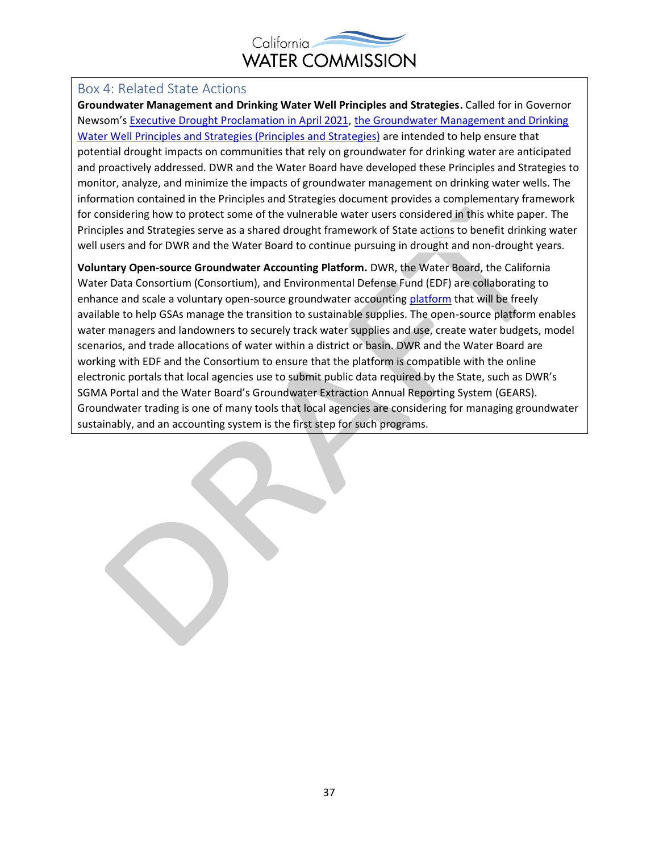

#### Box 4: Related State Actions

**Groundwater Management and Drinking Water Well Principles and Strategies.** Called for in Governor Newsom's [Executive Drought Proclamation in April 2021,](https://www.gov.ca.gov/wp-content/uploads/2021/04/4.21.21-Drought-Proclamation.pdf) [the Groundwater Management and Drinking](https://water.ca.gov/-/media/DWR-Website/Web-Pages/Programs/Groundwater-Management/DrinkingWater/Files/Final-Principles-and-Strategies-with-the-Implementation-Matrix.pdf)  [Water Well Principles and Strategies \(Principles and Strategies\)](https://water.ca.gov/-/media/DWR-Website/Web-Pages/Programs/Groundwater-Management/DrinkingWater/Files/Final-Principles-and-Strategies-with-the-Implementation-Matrix.pdf) are intended to help ensure that potential drought impacts on communities that rely on groundwater for drinking water are anticipated and proactively addressed. DWR and the Water Board have developed these Principles and Strategies to monitor, analyze, and minimize the impacts of groundwater management on drinking water wells. The information contained in the Principles and Strategies document provides a complementary framework for considering how to protect some of the vulnerable water users considered in this white paper. The Principles and Strategies serve as a shared drought framework of State actions to benefit drinking water well users and for DWR and the Water Board to continue pursuing in drought and non-drought years.

**Voluntary Open-source Groundwater Accounting Platform.** DWR, the Water Board, the California Water Data Consortium (Consortium), and Environmental Defense Fund (EDF) are collaborating to enhance and scale a voluntary open-source groundwater accountin[g platform](https://edfmaps.maps.arcgis.com/apps/Cascade/index.html?appid=7af13444157741a2a090cf4262b44206) that will be freely available to help GSAs manage the transition to sustainable supplies. The open-source platform enables water managers and landowners to securely track water supplies and use, create water budgets, model scenarios, and trade allocations of water within a district or basin. DWR and the Water Board are working with EDF and the Consortium to ensure that the platform is compatible with the online electronic portals that local agencies use to submit public data required by the State, such as DWR's SGMA Portal and the Water Board's Groundwater Extraction Annual Reporting System (GEARS). Groundwater trading is one of many tools that local agencies are considering for managing groundwater sustainably, and an accounting system is the first step for such programs.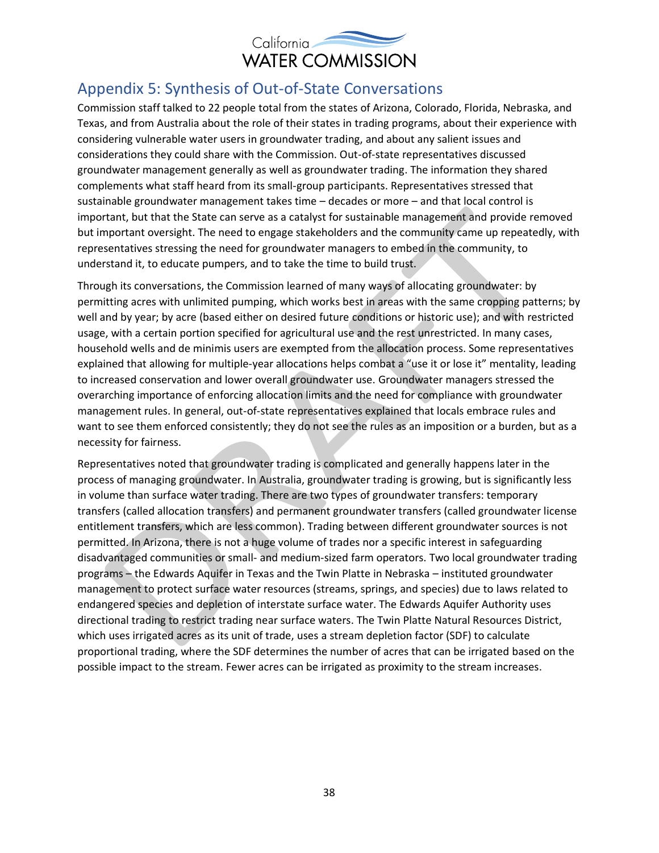

#### Appendix 5: Synthesis of Out-of-State Conversations

Commission staff talked to 22 people total from the states of Arizona, Colorado, Florida, Nebraska, and Texas, and from Australia about the role of their states in trading programs, about their experience with considering vulnerable water users in groundwater trading, and about any salient issues and considerations they could share with the Commission. Out-of-state representatives discussed groundwater management generally as well as groundwater trading. The information they shared complements what staff heard from its small-group participants. Representatives stressed that sustainable groundwater management takes time – decades or more – and that local control is important, but that the State can serve as a catalyst for sustainable management and provide removed but important oversight. The need to engage stakeholders and the community came up repeatedly, with representatives stressing the need for groundwater managers to embed in the community, to understand it, to educate pumpers, and to take the time to build trust.

Through its conversations, the Commission learned of many ways of allocating groundwater: by permitting acres with unlimited pumping, which works best in areas with the same cropping patterns; by well and by year; by acre (based either on desired future conditions or historic use); and with restricted usage, with a certain portion specified for agricultural use and the rest unrestricted. In many cases, household wells and de minimis users are exempted from the allocation process. Some representatives explained that allowing for multiple-year allocations helps combat a "use it or lose it" mentality, leading to increased conservation and lower overall groundwater use. Groundwater managers stressed the overarching importance of enforcing allocation limits and the need for compliance with groundwater management rules. In general, out-of-state representatives explained that locals embrace rules and want to see them enforced consistently; they do not see the rules as an imposition or a burden, but as a necessity for fairness.

Representatives noted that groundwater trading is complicated and generally happens later in the process of managing groundwater. In Australia, groundwater trading is growing, but is significantly less in volume than surface water trading. There are two types of groundwater transfers: temporary transfers (called allocation transfers) and permanent groundwater transfers (called groundwater license entitlement transfers, which are less common). Trading between different groundwater sources is not permitted. In Arizona, there is not a huge volume of trades nor a specific interest in safeguarding disadvantaged communities or small- and medium-sized farm operators. Two local groundwater trading programs – the Edwards Aquifer in Texas and the Twin Platte in Nebraska – instituted groundwater management to protect surface water resources (streams, springs, and species) due to laws related to endangered species and depletion of interstate surface water. The Edwards Aquifer Authority uses directional trading to restrict trading near surface waters. The Twin Platte Natural Resources District, which uses irrigated acres as its unit of trade, uses a stream depletion factor (SDF) to calculate proportional trading, where the SDF determines the number of acres that can be irrigated based on the possible impact to the stream. Fewer acres can be irrigated as proximity to the stream increases.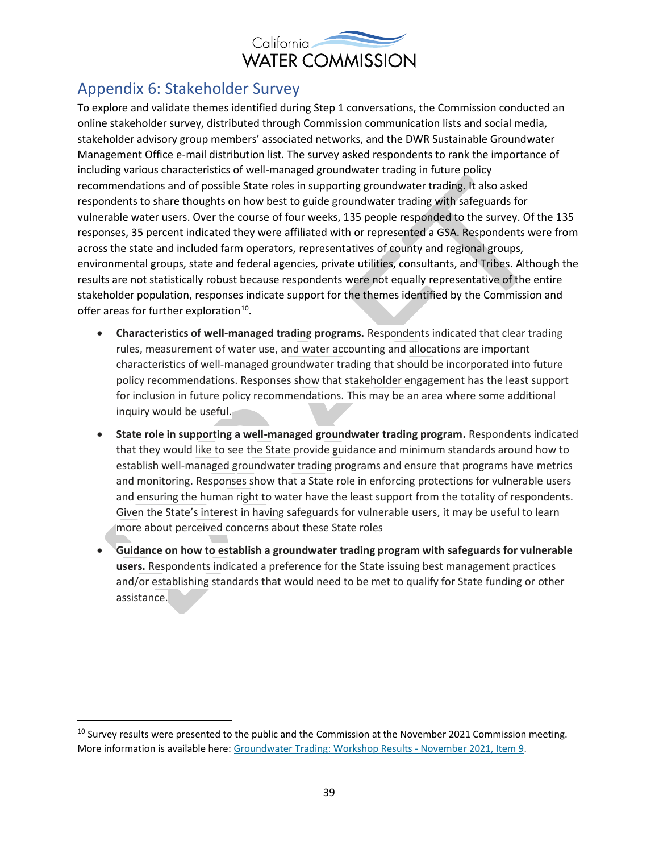

## Appendix 6: Stakeholder Survey

To explore and validate themes identified during Step 1 conversations, the Commission conducted an online stakeholder survey, distributed through Commission communication lists and social media, stakeholder advisory group members' associated networks, and the DWR Sustainable Groundwater Management Office e-mail distribution list. The survey asked respondents to rank the importance of including various characteristics of well-managed groundwater trading in future policy recommendations and of possible State roles in supporting groundwater trading. It also asked respondents to share thoughts on how best to guide groundwater trading with safeguards for vulnerable water users. Over the course of four weeks, 135 people responded to the survey. Of the 135 responses, 35 percent indicated they were affiliated with or represented a GSA. Respondents were from across the state and included farm operators, representatives of county and regional groups, environmental groups, state and federal agencies, private utilities, consultants, and Tribes. Although the results are not statistically robust because respondents were not equally representative of the entire stakeholder population, responses indicate support for the themes identified by the Commission and offer areas for further exploration<sup>10</sup>.

- **Characteristics of well-managed trading programs.** Respondents indicated that clear trading rules, measurement of water use, and water accounting and allocations are important characteristics of well-managed groundwater trading that should be incorporated into future policy recommendations. Responses show that stakeholder engagement has the least support for inclusion in future policy recommendations. This may be an area where some additional inquiry would be useful.
- **State role in supporting a well-managed groundwater trading program.** Respondents indicated that they would like to see the State provide guidance and minimum standards around how to establish well-managed groundwater trading programs and ensure that programs have metrics and monitoring. Responses show that a State role in enforcing protections for vulnerable users and ensuring the human right to water have the least support from the totality of respondents. Given the State's interest in having safeguards for vulnerable users, it may be useful to learn more about perceived concerns about these State roles
- **Guidance on how to establish a groundwater trading program with safeguards for vulnerable users.** Respondents indicated a preference for the State issuing best management practices and/or establishing standards that would need to be met to qualify for State funding or other assistance.

<sup>&</sup>lt;sup>10</sup> Survey results were presented to the public and the Commission at the November 2021 Commission meeting. More information is available here: [Groundwater Trading: Workshop Results -](https://cwc.ca.gov/Meetings/All-Meetings/2021/Meeting-of-the-California-Water-Commission-Nov-17-2021) November 2021, Item 9.